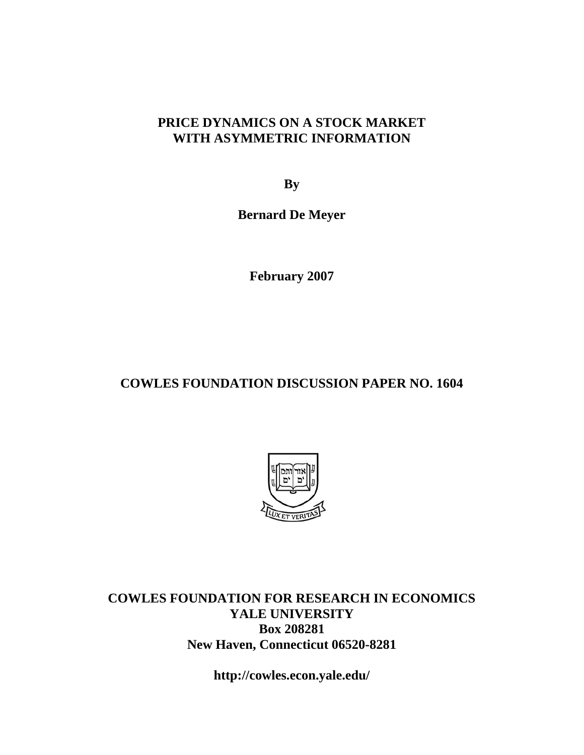## **PRICE DYNAMICS ON A STOCK MARKET WITH ASYMMETRIC INFORMATION**

**By** 

**Bernard De Meyer** 

**February 2007** 

# **COWLES FOUNDATION DISCUSSION PAPER NO. 1604**



**COWLES FOUNDATION FOR RESEARCH IN ECONOMICS YALE UNIVERSITY Box 208281 New Haven, Connecticut 06520-8281** 

**http://cowles.econ.yale.edu/**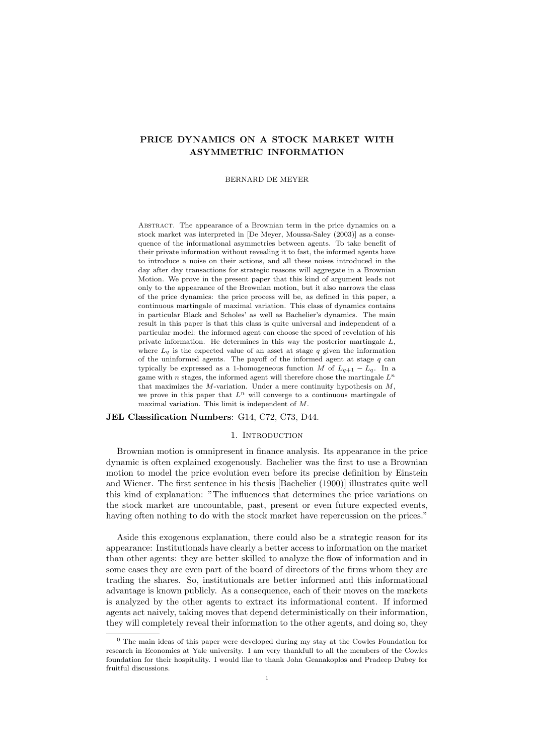## PRICE DYNAMICS ON A STOCK MARKET WITH ASYMMETRIC INFORMATION

BERNARD DE MEYER

Abstract. The appearance of a Brownian term in the price dynamics on a stock market was interpreted in [De Meyer, Moussa-Saley (2003)] as a consequence of the informational asymmetries between agents. To take benefit of their private information without revealing it to fast, the informed agents have to introduce a noise on their actions, and all these noises introduced in the day after day transactions for strategic reasons will aggregate in a Brownian Motion. We prove in the present paper that this kind of argument leads not only to the appearance of the Brownian motion, but it also narrows the class of the price dynamics: the price process will be, as defined in this paper, a continuous martingale of maximal variation. This class of dynamics contains in particular Black and Scholes' as well as Bachelier's dynamics. The main result in this paper is that this class is quite universal and independent of a particular model: the informed agent can choose the speed of revelation of his private information. He determines in this way the posterior martingale  $L$ , where  $L_q$  is the expected value of an asset at stage q given the information of the uninformed agents. The payoff of the informed agent at stage  $q$  can typically be expressed as a 1-homogeneous function M of  $L_{q+1} - L_q$ . In a game with n stages, the informed agent will therefore chose the martingale  $L^n$ that maximizes the M-variation. Under a mere continuity hypothesis on  $M$ , we prove in this paper that  $L^n$  will converge to a continuous martingale of maximal variation. This limit is independent of M.

JEL Classification Numbers: G14, C72, C73, D44.

## 1. INTRODUCTION

Brownian motion is omnipresent in finance analysis. Its appearance in the price dynamic is often explained exogenously. Bachelier was the first to use a Brownian motion to model the price evolution even before its precise definition by Einstein and Wiener. The first sentence in his thesis [Bachelier (1900)] illustrates quite well this kind of explanation: "The influences that determines the price variations on the stock market are uncountable, past, present or even future expected events, having often nothing to do with the stock market have repercussion on the prices."

Aside this exogenous explanation, there could also be a strategic reason for its appearance: Institutionals have clearly a better access to information on the market than other agents: they are better skilled to analyze the flow of information and in some cases they are even part of the board of directors of the firms whom they are trading the shares. So, institutionals are better informed and this informational advantage is known publicly. As a consequence, each of their moves on the markets is analyzed by the other agents to extract its informational content. If informed agents act naively, taking moves that depend deterministically on their information, they will completely reveal their information to the other agents, and doing so, they

 $<sup>0</sup>$  The main ideas of this paper were developed during my stay at the Cowles Foundation for</sup> research in Economics at Yale university. I am very thankfull to all the members of the Cowles foundation for their hospitality. I would like to thank John Geanakoplos and Pradeep Dubey for fruitful discussions.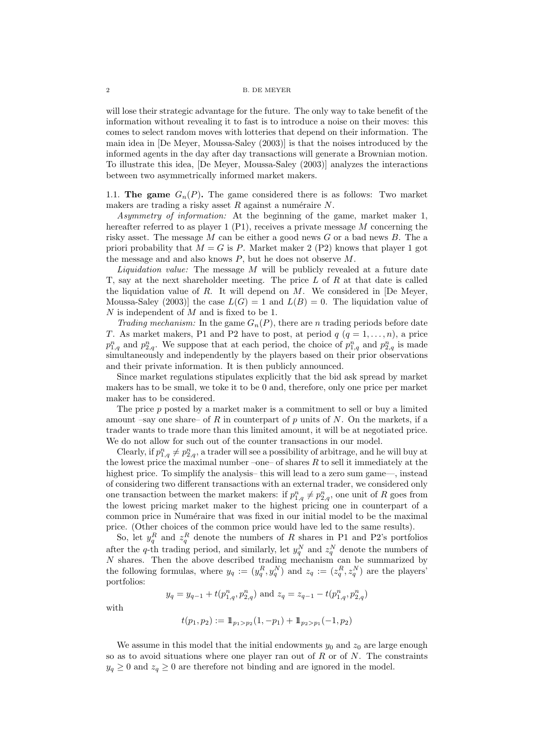will lose their strategic advantage for the future. The only way to take benefit of the information without revealing it to fast is to introduce a noise on their moves: this comes to select random moves with lotteries that depend on their information. The main idea in [De Meyer, Moussa-Saley (2003)] is that the noises introduced by the informed agents in the day after day transactions will generate a Brownian motion. To illustrate this idea, [De Meyer, Moussa-Saley (2003)] analyzes the interactions between two asymmetrically informed market makers.

1.1. The game  $G_n(P)$ . The game considered there is as follows: Two market makers are trading a risky asset  $R$  against a numéraire  $N$ .

Asymmetry of information: At the beginning of the game, market maker 1, hereafter referred to as player  $1$  (P1), receives a private message M concerning the risky asset. The message  $M$  can be either a good news  $G$  or a bad news  $B$ . The a priori probability that  $M = G$  is P. Market maker 2 (P2) knows that player 1 got the message and and also knows  $P$ , but he does not observe  $M$ .

*Liquidation value:* The message  $M$  will be publicly revealed at a future date T, say at the next shareholder meeting. The price  $L$  of  $R$  at that date is called the liquidation value of  $R$ . It will depend on  $M$ . We considered in [De Meyer, Moussa-Saley (2003)] the case  $L(G) = 1$  and  $L(B) = 0$ . The liquidation value of  $N$  is independent of  $M$  and is fixed to be 1.

Trading mechanism: In the game  $G_n(P)$ , there are n trading periods before date T. As market makers, P1 and P2 have to post, at period  $q$   $(q = 1, \ldots, n)$ , a price  $p_{1,q}^n$  and  $p_{2,q}^n$ . We suppose that at each period, the choice of  $p_{1,q}^n$  and  $p_{2,q}^n$  is made simultaneously and independently by the players based on their prior observations and their private information. It is then publicly announced.

Since market regulations stipulates explicitly that the bid ask spread by market makers has to be small, we toke it to be 0 and, therefore, only one price per market maker has to be considered.

The price  $p$  posted by a market maker is a commitment to sell or buy a limited amount –say one share– of R in counterpart of p units of N. On the markets, if a trader wants to trade more than this limited amount, it will be at negotiated price. We do not allow for such out of the counter transactions in our model.

Clearly, if  $p_{1,q}^n \neq p_{2,q}^n$ , a trader will see a possibility of arbitrage, and he will buy at the lowest price the maximal number –one– of shares  $R$  to sell it immediately at the highest price. To simplify the analysis– this will lead to a zero sum game—, instead of considering two different transactions with an external trader, we considered only one transaction between the market makers: if  $p_{1,q}^n \neq p_{2,q}^n$ , one unit of R goes from the lowest pricing market maker to the highest pricing one in counterpart of a common price in Numéraire that was fixed in our initial model to be the maximal price. (Other choices of the common price would have led to the same results).

So, let  $y_q^R$  and  $z_q^R$  denote the numbers of R shares in P1 and P2's portfolios after the q-th trading period, and similarly, let  $y_q^N$  and  $z_q^N$  denote the numbers of N shares. Then the above described trading mechanism can be summarized by the following formulas, where  $y_q := (y_q^R, y_q^N)$  and  $z_q := (z_q^R, z_q^N)$  are the players' portfolios:

$$
y_q = y_{q-1} + t(p_{1,q}^n, p_{2,q}^n)
$$
 and  $z_q = z_{q-1} - t(p_{1,q}^n, p_{2,q}^n)$ 

with

$$
t(p_1, p_2) := 1\!\!1_{p_1 > p_2}(1, -p_1) + 1\!\!1_{p_2 > p_1}(-1, p_2)
$$

We assume in this model that the initial endowments  $y_0$  and  $z_0$  are large enough so as to avoid situations where one player ran out of  $R$  or of  $N$ . The constraints  $y_q \geq 0$  and  $z_q \geq 0$  are therefore not binding and are ignored in the model.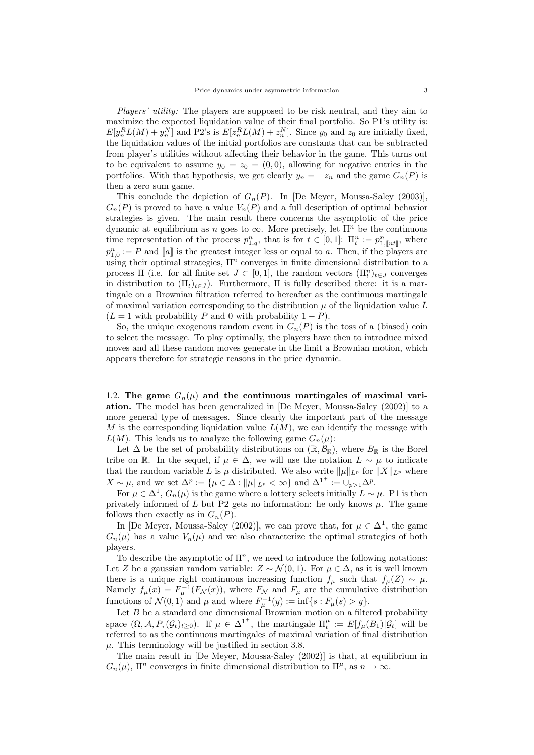Players' utility: The players are supposed to be risk neutral, and they aim to maximize the expected liquidation value of their final portfolio. So P1's utility is:  $E[y_n^R L(M) + y_n^N]$  and P2's is  $E[z_n^R L(M) + z_n^N]$ . Since  $y_0$  and  $z_0$  are initially fixed, the liquidation values of the initial portfolios are constants that can be subtracted from player's utilities without affecting their behavior in the game. This turns out to be equivalent to assume  $y_0 = z_0 = (0, 0)$ , allowing for negative entries in the portfolios. With that hypothesis, we get clearly  $y_n = -z_n$  and the game  $G_n(P)$  is then a zero sum game.

This conclude the depiction of  $G_n(P)$ . In [De Meyer, Moussa-Saley (2003)],  $G_n(P)$  is proved to have a value  $V_n(P)$  and a full description of optimal behavior strategies is given. The main result there concerns the asymptotic of the price dynamic at equilibrium as n goes to  $\infty$ . More precisely, let  $\Pi^n$  be the continuous time representation of the process  $p_{1,q}^n$ , that is for  $t \in [0,1]$ :  $\Pi_t^n := p_{1,\lceil nt \rceil}^n$ , where  $p_{1,0}^n := P$  and  $[[a]]$  is the greatest integer less or equal to a. Then, if the players are using their optimal strategies,  $\Pi^n$  converges in finite dimensional distribution to a process  $\Pi$  (i.e. for all finite set  $J \subset [0,1]$ , the random vectors  $(\Pi_t^n)_{t \in J}$  converges in distribution to  $(\Pi_t)_{t\in J}$ ). Furthermore,  $\Pi$  is fully described there: it is a martingale on a Brownian filtration referred to hereafter as the continuous martingale of maximal variation corresponding to the distribution  $\mu$  of the liquidation value L  $(L = 1$  with probability P and 0 with probability  $1 - P$ ).

So, the unique exogenous random event in  $G_n(P)$  is the toss of a (biased) coin to select the message. To play optimally, the players have then to introduce mixed moves and all these random moves generate in the limit a Brownian motion, which appears therefore for strategic reasons in the price dynamic.

1.2. The game  $G_n(\mu)$  and the continuous martingales of maximal variation. The model has been generalized in [De Meyer, Moussa-Saley (2002)] to a more general type of messages. Since clearly the important part of the message M is the corresponding liquidation value  $L(M)$ , we can identify the message with  $L(M)$ . This leads us to analyze the following game  $G_n(\mu)$ :

Let  $\Delta$  be the set of probability distributions on  $(\mathbb{R}, \mathcal{B}_{\mathbb{R}})$ , where  $B_{\mathbb{R}}$  is the Borel tribe on R. In the sequel, if  $\mu \in \Delta$ , we will use the notation  $L \sim \mu$  to indicate that the random variable L is  $\mu$  distributed. We also write  $\|\mu\|_{L^p}$  for  $\|X\|_{L^p}$  where  $X \sim \mu$ , and we set  $\Delta^p := \{ \mu \in \Delta : ||\mu||_{L^p} < \infty \}$  and  $\Delta^{1^+} := \cup_{p>1} \Delta^p$ .

For  $\mu \in \Delta^1$ ,  $G_n(\mu)$  is the game where a lottery selects initially  $L \sim \mu$ . P1 is then privately informed of  $L$  but P2 gets no information: he only knows  $\mu$ . The game follows then exactly as in  $G_n(P)$ .

In [De Meyer, Moussa-Saley (2002)], we can prove that, for  $\mu \in \Delta^1$ , the game  $G_n(\mu)$  has a value  $V_n(\mu)$  and we also characterize the optimal strategies of both players.

To describe the asymptotic of  $\Pi^n$ , we need to introduce the following notations: Let Z be a gaussian random variable:  $Z \sim \mathcal{N}(0, 1)$ . For  $\mu \in \Delta$ , as it is well known there is a unique right continuous increasing function  $f_\mu$  such that  $f_\mu(Z) \sim \mu$ . Namely  $f_{\mu}(x) = F_{\mu}^{-1}(F_{\mathcal{N}}(x))$ , where  $F_{\mathcal{N}}$  and  $F_{\mu}$  are the cumulative distribution functions of  $\mathcal{N}(0,1)$  and  $\mu$  and where  $F_{\mu}^{-1}(y) := \inf\{s : F_{\mu}(s) > y\}.$ 

Let  $B$  be a standard one dimensional Brownian motion on a filtered probability space  $(\Omega, \mathcal{A}, P, (\mathcal{G}_t)_{t \geq 0})$ . If  $\mu \in {\Delta^1}^+$ , the martingale  $\Pi_t^{\mu} := E[f_{\mu}(B_1)|\mathcal{G}_t]$  will be referred to as the continuous martingales of maximal variation of final distribution  $\mu$ . This terminology will be justified in section 3.8.

The main result in [De Meyer, Moussa-Saley (2002)] is that, at equilibrium in  $G_n(\mu)$ ,  $\Pi^n$  converges in finite dimensional distribution to  $\Pi^{\mu}$ , as  $n \to \infty$ .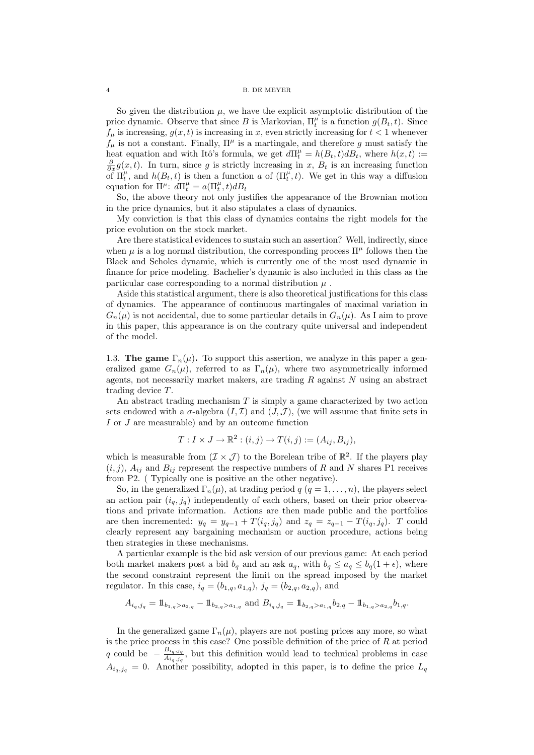So given the distribution  $\mu$ , we have the explicit asymptotic distribution of the price dynamic. Observe that since B is Markovian,  $\Pi_t^{\mu}$  is a function  $g(B_t, t)$ . Since  $f_{\mu}$  is increasing,  $g(x, t)$  is increasing in x, even strictly increasing for  $t < 1$  whenever  $f_{\mu}$  is not a constant. Finally,  $\Pi^{\mu}$  is a martingale, and therefore g must satisfy the heat equation and with Itô's formula, we get  $d\Pi_t^{\mu} = h(B_t, t)dB_t$ , where  $h(x, t) :=$  $\frac{\partial}{\partial x}g(x,t)$ . In turn, since g is strictly increasing in x,  $B_t$  is an increasing function of  $\Pi_t^{\mu}$ , and  $h(B_t, t)$  is then a function a of  $(\Pi_t^{\mu}, t)$ . We get in this way a diffusion equation for  $\Pi^{\mu}$ :  $d\Pi^{\mu}_t = a(\Pi^{\mu}_t, t)dB_t$ 

So, the above theory not only justifies the appearance of the Brownian motion in the price dynamics, but it also stipulates a class of dynamics.

My conviction is that this class of dynamics contains the right models for the price evolution on the stock market.

Are there statistical evidences to sustain such an assertion? Well, indirectly, since when  $\mu$  is a log normal distribution, the corresponding process  $\Pi^{\mu}$  follows then the Black and Scholes dynamic, which is currently one of the most used dynamic in finance for price modeling. Bachelier's dynamic is also included in this class as the particular case corresponding to a normal distribution  $\mu$ .

Aside this statistical argument, there is also theoretical justifications for this class of dynamics. The appearance of continuous martingales of maximal variation in  $G_n(\mu)$  is not accidental, due to some particular details in  $G_n(\mu)$ . As I aim to prove in this paper, this appearance is on the contrary quite universal and independent of the model.

1.3. The game  $\Gamma_n(\mu)$ . To support this assertion, we analyze in this paper a generalized game  $G_n(\mu)$ , referred to as  $\Gamma_n(\mu)$ , where two asymmetrically informed agents, not necessarily market makers, are trading  $R$  against  $N$  using an abstract trading device T.

An abstract trading mechanism  $T$  is simply a game characterized by two action sets endowed with a  $\sigma$ -algebra  $(I, \mathcal{I})$  and  $(J, \mathcal{J})$ , (we will assume that finite sets in I or J are measurable) and by an outcome function

$$
T: I \times J \to \mathbb{R}^2 : (i, j) \to T(i, j) := (A_{ij}, B_{ij}),
$$

which is measurable from  $(\mathcal{I} \times \mathcal{J})$  to the Borelean tribe of  $\mathbb{R}^2$ . If the players play  $(i, j)$ ,  $A_{ij}$  and  $B_{ij}$  represent the respective numbers of R and N shares P1 receives from P2. ( Typically one is positive an the other negative).

So, in the generalized  $\Gamma_n(\mu)$ , at trading period  $q$  ( $q = 1, \ldots, n$ ), the players select an action pair  $(i_q, j_q)$  independently of each others, based on their prior observations and private information. Actions are then made public and the portfolios are then incremented:  $y_q = y_{q-1} + T(i_q, j_q)$  and  $z_q = z_{q-1} - T(i_q, j_q)$ . T could clearly represent any bargaining mechanism or auction procedure, actions being then strategies in these mechanisms.

A particular example is the bid ask version of our previous game: At each period both market makers post a bid  $b_q$  and an ask  $a_q$ , with  $b_q \le a_q \le b_q(1+\epsilon)$ , where the second constraint represent the limit on the spread imposed by the market regulator. In this case,  $i_q = (b_{1,q}, a_{1,q})$ ,  $j_q = (b_{2,q}, a_{2,q})$ , and

$$
A_{i_q,j_q} = 1\!\!1_{b_{1,q} > a_{2,q}} - 1\!\!1_{b_{2,q} > a_{1,q}}
$$
 and 
$$
B_{i_q,j_q} = 1\!\!1_{b_{2,q} > a_{1,q}} b_{2,q} - 1\!\!1_{b_{1,q} > a_{2,q}} b_{1,q}.
$$

In the generalized game  $\Gamma_n(\mu)$ , players are not posting prices any more, so what is the price process in this case? One possible definition of the price of  $R$  at period q could be  $-\frac{B_{i_q,j_q}}{4}$  $\frac{B_i q_i, q_i}{A_{i_q, j_q}}$ , but this definition would lead to technical problems in case  $A_{i_q,j_q} = 0$ . Another possibility, adopted in this paper, is to define the price  $L_q$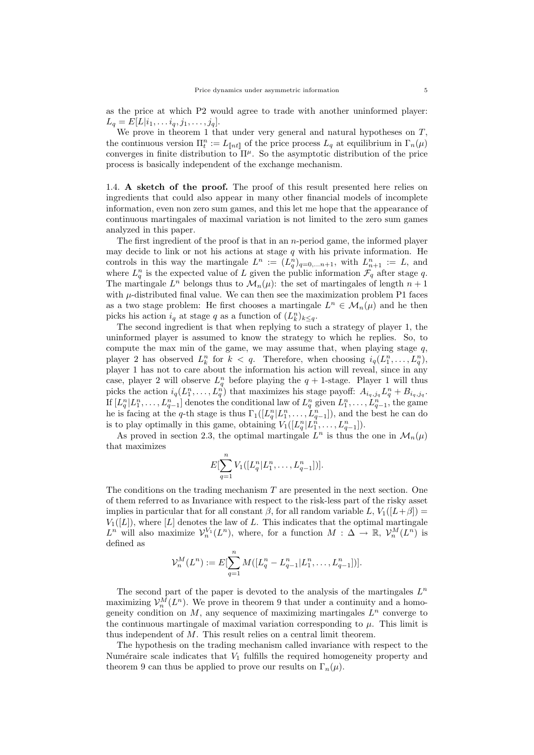as the price at which P2 would agree to trade with another uninformed player:  $L_q = E[L|i_1, \ldots i_q, j_1, \ldots, j_q].$ 

We prove in theorem 1 that under very general and natural hypotheses on  $T$ , the continuous version  $\Pi_t^n := L_{\llbracket nt \rrbracket}$  of the price process  $L_q$  at equilibrium in  $\Gamma_n(\mu)$ converges in finite distribution to  $\Pi^{\mu}$ . So the asymptotic distribution of the price process is basically independent of the exchange mechanism.

1.4. A sketch of the proof. The proof of this result presented here relies on ingredients that could also appear in many other financial models of incomplete information, even non zero sum games, and this let me hope that the appearance of continuous martingales of maximal variation is not limited to the zero sum games analyzed in this paper.

The first ingredient of the proof is that in an  $n$ -period game, the informed player may decide to link or not his actions at stage q with his private information. He controls in this way the martingale  $L^n := (L_q^n)_{q=0,\ldots n+1}$ , with  $L_{n+1}^n := L$ , and where  $L_q^n$  is the expected value of L given the public information  $\mathcal{F}_q$  after stage q. The martingale  $L^n$  belongs thus to  $\mathcal{M}_n(\mu)$ : the set of martingales of length  $n+1$ with  $\mu$ -distributed final value. We can then see the maximization problem P1 faces as a two stage problem: He first chooses a martingale  $L^n \in \mathcal{M}_n(\mu)$  and he then picks his action  $i_q$  at stage q as a function of  $(L_k^n)_{k \leq q}$ .

The second ingredient is that when replying to such a strategy of player 1, the uninformed player is assumed to know the strategy to which he replies. So, to compute the max min of the game, we may assume that, when playing stage  $q$ , player 2 has observed  $L_k^n$  for  $k < q$ . Therefore, when choosing  $i_q(L_1^n, \ldots, L_q^n)$ , player 1 has not to care about the information his action will reveal, since in any case, player 2 will observe  $L_q^n$  before playing the  $q + 1$ -stage. Player 1 will thus picks the action  $i_q(L_1^n,\ldots,L_q^n)$  that maximizes his stage payoff:  $A_{i_q,j_q}L_q^n + B_{i_q,j_q}$ . If  $[L_q^n | L_1^n, \ldots, L_{q-1}^n]$  denotes the conditional law of  $L_q^n$  given  $L_1^n, \ldots, L_{q-1}^n$ , the game he is facing at the q-th stage is thus  $\Gamma_1([L_q^n | L_1^n, \ldots, L_{q-1}^n])$ , and the best he can do is to play optimally in this game, obtaining  $V_1([L_q^n | L_1^{\hat{n}}, \ldots, L_{q-1}^n]).$ 

As proved in section 2.3, the optimal martingale  $L^n$  is thus the one in  $\mathcal{M}_n(\mu)$ that maximizes

$$
E[\sum_{q=1}^{n}V_1([L_q^n|L_1^n,\ldots,L_{q-1}^n])].
$$

The conditions on the trading mechanism  $T$  are presented in the next section. One of them referred to as Invariance with respect to the risk-less part of the risky asset implies in particular that for all constant  $\beta$ , for all random variable L,  $V_1([L+\beta])$  $V_1([L])$ , where [L] denotes the law of L. This indicates that the optimal martingale  $L^n$  will also maximize  $\mathcal{V}_n^{V_1}(L^n)$ , where, for a function  $M: \Delta \to \mathbb{R}, \mathcal{V}_n^M(L^n)$  is defined as

$$
\mathcal{V}_n^M(L^n) := E[\sum_{q=1}^n M([L_q^n - L_{q-1}^n | L_1^n, \dots, L_{q-1}^n])].
$$

The second part of the paper is devoted to the analysis of the martingales  $L^n$ maximizing  $\mathcal{V}_n^M(L^n)$ . We prove in theorem 9 that under a continuity and a homogeneity condition on  $M$ , any sequence of maximizing martingales  $L^n$  converge to the continuous martingale of maximal variation corresponding to  $\mu$ . This limit is thus independent of M. This result relies on a central limit theorem.

The hypothesis on the trading mechanism called invariance with respect to the Numéraire scale indicates that  $V_1$  fulfills the required homogeneity property and theorem 9 can thus be applied to prove our results on  $\Gamma_n(\mu)$ .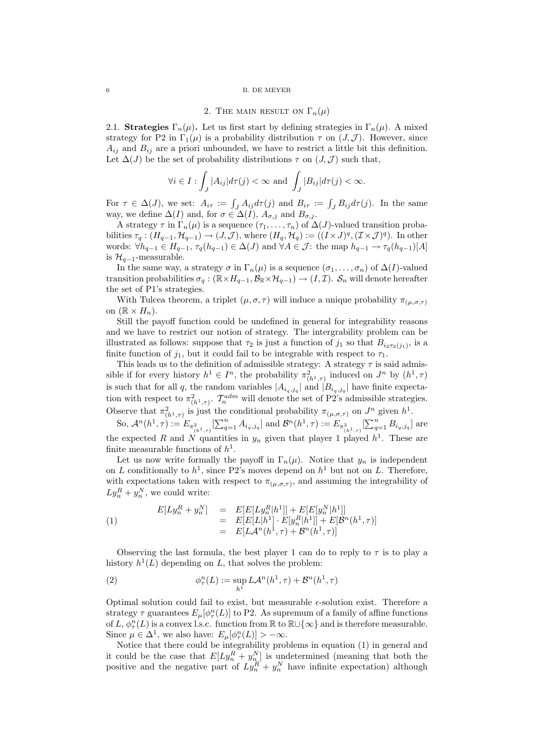#### $6\hskip 4.5cm$  B. DE MEYER

## 2. THE MAIN RESULT ON  $\Gamma_n(\mu)$

2.1. Strategies  $\Gamma_n(\mu)$ . Let us first start by defining strategies in  $\Gamma_n(\mu)$ . A mixed strategy for P2 in  $\Gamma_1(\mu)$  is a probability distribution  $\tau$  on  $(J, \mathcal{J})$ . However, since  $A_{ij}$  and  $B_{ij}$  are a priori unbounded, we have to restrict a little bit this definition. Let  $\Delta(J)$  be the set of probability distributions  $\tau$  on  $(J, \mathcal{J})$  such that,

$$
\forall i \in I : \int_J |A_{ij}| d\tau(j) < \infty \text{ and } \int_J |B_{ij}| d\tau(j) < \infty.
$$

For  $\tau \in \Delta(J)$ , we set:  $A_{i\tau} := \int_J A_{ij} d\tau(j)$  and  $B_{i\tau} := \int_J B_{ij} d\tau(j)$ . In the same way, we define  $\Delta(I)$  and, for  $\sigma \in \Delta(I)$ ,  $A_{\sigma,i}$  and  $B_{\sigma,i}$ .

A strategy  $\tau$  in  $\Gamma_n(\mu)$  is a sequence  $(\tau_1, \ldots, \tau_n)$  of  $\Delta(J)$ -valued transition probabilities  $\tau_q: (H_{q-1}, \mathcal{H}_{q-1}) \to (J, \mathcal{J})$ , where  $(H_q, \mathcal{H}_q) := ((I \times J)^q, (\mathcal{I} \times \mathcal{J})^q)$ . In other words:  $\forall h_{q-1} \in H_{q-1}, \tau_q(h_{q-1}) \in \Delta(J)$  and  $\forall A \in \mathcal{J}$ : the map  $h_{q-1} \to \tau_q(h_{q-1})[A]$ is  $\mathcal{H}_{q-1}$ -measurable.

In the same way, a strategy  $\sigma$  in  $\Gamma_n(\mu)$  is a sequence  $(\sigma_1, \ldots, \sigma_n)$  of  $\Delta(I)$ -valued transition probabilities  $\sigma_q : (\mathbb{R} \times H_{q-1}, \mathcal{B}_{\mathbb{R}} \times \mathcal{H}_{q-1}) \to (I, \mathcal{I})$ .  $\mathcal{S}_n$  will denote hereafter the set of P1's strategies.

With Tulcea theorem, a triplet  $(\mu, \sigma, \tau)$  will induce a unique probability  $\pi_{(\mu, \sigma, \tau)}$ on  $(\mathbb{R} \times H_n)$ .

Still the payoff function could be undefined in general for integrability reasons and we have to restrict our notion of strategy. The intergrability problem can be illustrated as follows: suppose that  $\tau_2$  is just a function of  $j_1$  so that  $B_{i_2 \tau_2(j_1)}$ , is a finite function of  $j_1$ , but it could fail to be integrable with respect to  $\tau_1$ .

This leads us to the definition of admissible strategy: A strategy  $\tau$  is said admissible if for every history  $h^1 \in I^n$ , the probability  $\pi^2_{(h^1, \tau)}$  induced on  $J^n$  by  $(h^1, \tau)$ is such that for all q, the random variables  $|A_{i_q,j_q}|$  and  $|B_{i_q,j_q}|$  have finite expectation with respect to  $\pi^2_{(h^1,\tau)}$ .  $\mathcal{T}_n^{adm}$  will denote the set of P2's admissible strategies. Observe that  $\pi^2_{(h^1,\tau)}$  is just the conditional probability  $\pi_{(\mu,\sigma,\tau)}$  on  $J^n$  given  $h^1$ .

So,  $\mathcal{A}^n(h^1, \tau) := E_{\pi^2_{(h^1, \tau)}}[\sum_{q=1}^n A_{i_q, j_q}]$  and  $\mathcal{B}^n(h^1, \tau) := E_{\pi^2_{(h^1, \tau)}}[\sum_{q=1}^n B_{i_q, j_q}]$  are the expected R and N quantities in  $y_n$  given that player 1 played  $h^1$ . These are finite measurable functions of  $h^1$ .

Let us now write formally the payoff in  $\Gamma_n(\mu)$ . Notice that  $y_n$  is independent on L conditionally to  $h<sup>1</sup>$ , since P2's moves depend on  $h<sup>1</sup>$  but not on L. Therefore, with expectations taken with respect to  $\pi_{(\mu,\sigma,\tau)}$ , and assuming the integrability of  $Ly_n^R + y_n^N$ , we could write:

(1) 
$$
E[Ly_n^R + y_n^N] = E[E[Ly_n^R|h^1]] + E[E[y_n^N|h^1]]
$$

$$
= E[E[L|h^1] \cdot E[y_n^R|h^1]] + E[\mathcal{B}^n(h^1, \tau)]
$$

$$
= E[L\mathcal{A}^n(h^1, \tau) + \mathcal{B}^n(h^1, \tau)]
$$

Observing the last formula, the best player 1 can do to reply to  $\tau$  is to play a history  $h^1(L)$  depending on L, that solves the problem:

(2) 
$$
\phi_{\tau}^{n}(L) := \sup_{h^{1}} L\mathcal{A}^{n}(h^{1}, \tau) + \mathcal{B}^{n}(h^{1}, \tau)
$$

Optimal solution could fail to exist, but measurable  $\epsilon$ -solution exist. Therefore a strategy  $\tau$  guarantees  $E_{\mu}[\phi_{\tau}^n(L)]$  to P2. As supremum of a family of affine functions of L,  $\phi_\tau^n(L)$  is a convex l.s.c. function from  $\mathbb R$  to  $\mathbb R\cup\{\infty\}$  and is therefore measurable. Since  $\mu \in \Delta^1$ , we also have:  $E_{\mu}[\phi_{\tau}^n(L)] > -\infty$ .

Notice that there could be integrability problems in equation (1) in general and it could be the case that  $E[Ly_n^R + y_n^N]$  is undetermined (meaning that both the positive and the negative part of  $Ly_n^R + y_n^N$  have infinite expectation) although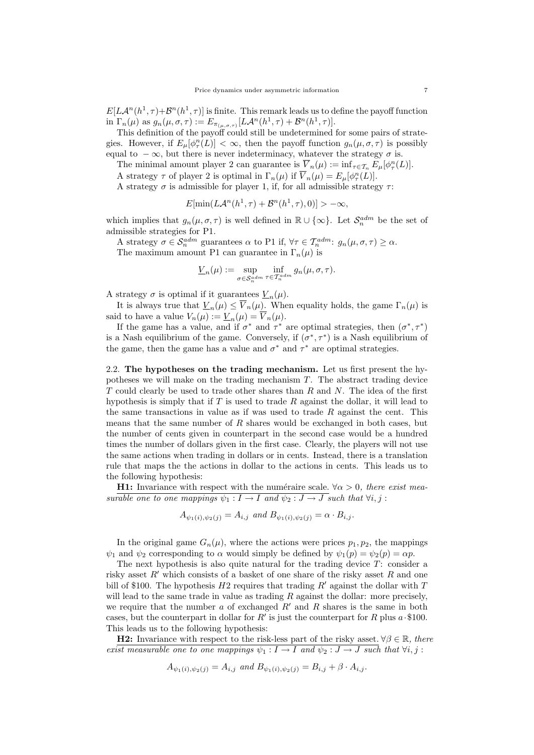$E[L\mathcal{A}^n(h^1,\tau)+\mathcal{B}^n(h^1,\tau)]$  is finite. This remark leads us to define the payoff function in  $\Gamma_n(\mu)$  as  $g_n(\mu, \sigma, \tau) := E_{\pi_{(\mu, \sigma, \tau)}}[L\mathcal{A}^n(h^1, \tau) + \mathcal{B}^n(h^1, \tau)].$ 

This definition of the payoff could still be undetermined for some pairs of strategies. However, if  $E_{\mu}[\phi_{\tau}^n(L)] < \infty$ , then the payoff function  $g_n(\mu, \sigma, \tau)$  is possibly equal to  $-\infty$ , but there is never indeterminacy, whatever the strategy  $\sigma$  is.

The minimal amount player 2 can guarantee is  $\overline{V}_n(\mu) := \inf_{\tau \in \mathcal{T}_n} E_\mu[\phi_\tau^n(L)].$ 

A strategy  $\tau$  of player 2 is optimal in  $\Gamma_n(\mu)$  if  $\overline{V}_n(\mu) = E_\mu[\phi_\tau^n(L)].$ 

A strategy  $\sigma$  is admissible for player 1, if, for all admissible strategy  $\tau$ :

$$
E[\min(L\mathcal{A}^n(h^1,\tau)+\mathcal{B}^n(h^1,\tau),0)]>-\infty,
$$

which implies that  $g_n(\mu, \sigma, \tau)$  is well defined in  $\mathbb{R} \cup {\infty}$ . Let  $\mathcal{S}_n^{adm}$  be the set of admissible strategies for P1.

A strategy  $\sigma \in \mathcal{S}_n^{adm}$  guarantees  $\alpha$  to P1 if,  $\forall \tau \in \mathcal{T}_n^{adm}$ :  $g_n(\mu, \sigma, \tau) \geq \alpha$ . The maximum amount P1 can guarantee in  $\Gamma_n(\mu)$  is

$$
\underline{V}_n(\mu) := \sup_{\sigma \in \mathcal{S}_n^{adm}} \inf_{\tau \in \mathcal{T}_n^{adm}} g_n(\mu, \sigma, \tau).
$$

A strategy  $\sigma$  is optimal if it guarantees  $\underline{V}_n(\mu)$ .

It is always true that  $\underline{V}_n(\mu) \le \overline{V}_n(\mu)$ . When equality holds, the game  $\Gamma_n(\mu)$  is said to have a value  $V_n(\mu) := \underline{V}_n(\mu) = \overline{V}_n(\mu)$ .

If the game has a value, and if  $\sigma^*$  and  $\tau^*$  are optimal strategies, then  $(\sigma^*, \tau^*)$ is a Nash equilibrium of the game. Conversely, if  $(\sigma^*, \tau^*)$  is a Nash equilibrium of the game, then the game has a value and  $\sigma^*$  and  $\tau^*$  are optimal strategies.

2.2. The hypotheses on the trading mechanism. Let us first present the hypotheses we will make on the trading mechanism T. The abstract trading device  $T$  could clearly be used to trade other shares than  $R$  and  $N$ . The idea of the first hypothesis is simply that if  $T$  is used to trade  $R$  against the dollar, it will lead to the same transactions in value as if was used to trade  $R$  against the cent. This means that the same number of R shares would be exchanged in both cases, but the number of cents given in counterpart in the second case would be a hundred times the number of dollars given in the first case. Clearly, the players will not use the same actions when trading in dollars or in cents. Instead, there is a translation rule that maps the the actions in dollar to the actions in cents. This leads us to the following hypothesis:

**H1:** Invariance with respect with the numéraire scale.  $\forall \alpha > 0$ , there exist measurable one to one mappings  $\psi_1 : I \to I$  and  $\psi_2 : J \to J$  such that  $\forall i, j$ :

 $A_{\psi_1(i), \psi_2(j)} = A_{i,j}$  and  $B_{\psi_1(i), \psi_2(j)} = \alpha \cdot B_{i,j}$ .

In the original game  $G_n(\mu)$ , where the actions were prices  $p_1, p_2$ , the mappings  $\psi_1$  and  $\psi_2$  corresponding to  $\alpha$  would simply be defined by  $\psi_1(p) = \psi_2(p) = \alpha p$ .

The next hypothesis is also quite natural for the trading device  $T$ : consider a risky asset  $R'$  which consists of a basket of one share of the risky asset R and one bill of \$100. The hypothesis  $H2$  requires that trading  $R'$  against the dollar with T will lead to the same trade in value as trading  $R$  against the dollar: more precisely, we require that the number a of exchanged  $R'$  and R shares is the same in both cases, but the counterpart in dollar for  $R'$  is just the counterpart for R plus  $a \cdot $100$ . This leads us to the following hypothesis:

**H2:** Invariance with respect to the risk-less part of the risky asset.  $\forall \beta \in \mathbb{R}$ , there exist measurable one to one mappings  $\psi_1 : I \to I$  and  $\psi_2 : J \to J$  such that  $\forall i, j$ :

$$
A_{\psi_1(i),\psi_2(j)} = A_{i,j} \text{ and } B_{\psi_1(i),\psi_2(j)} = B_{i,j} + \beta \cdot A_{i,j}.
$$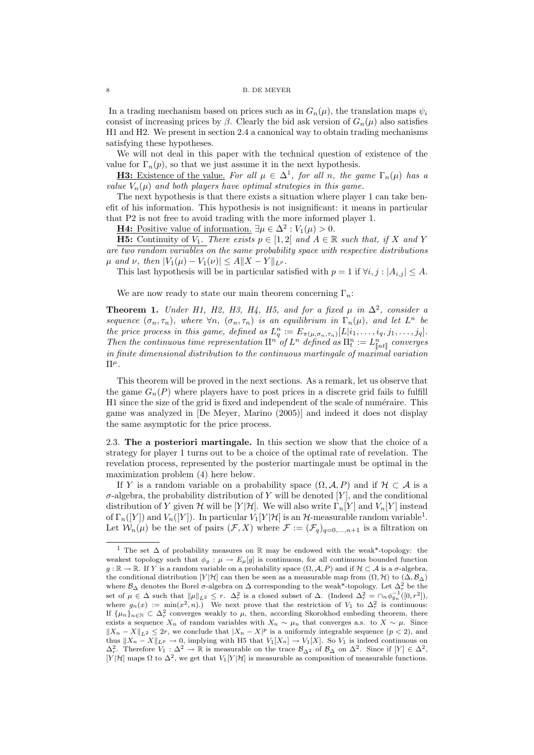In a trading mechanism based on prices such as in  $G_n(\mu)$ , the translation maps  $\psi_i$ consist of increasing prices by  $\beta$ . Clearly the bid ask version of  $G_n(\mu)$  also satisfies H1 and H2. We present in section 2.4 a canonical way to obtain trading mechanisms satisfying these hypotheses.

We will not deal in this paper with the technical question of existence of the value for  $\Gamma_n(p)$ , so that we just assume it in the next hypothesis.

**H3:** Existence of the value. For all  $\mu \in \Delta^1$ , for all n, the game  $\Gamma_n(\mu)$  has a value  $V_n(\mu)$  and both players have optimal strategies in this game.

The next hypothesis is that there exists a situation where player 1 can take benefit of his information. This hypothesis is not insignificant: it means in particular that P2 is not free to avoid trading with the more informed player 1.

**H4:** Positive value of information.  $\exists \mu \in \Delta^2 : V_1(\mu) > 0$ .

**H5:** Continuity of  $V_1$ . There exists  $p \in [1,2]$  and  $A \in \mathbb{R}$  such that, if X and Y are two random variables on the same probability space with respective distributions  $\mu$  and  $\nu$ , then  $|V_1(\mu) - V_1(\nu)| \le A ||X - Y||_{L^p}$ .

This last hypothesis will be in particular satisfied with  $p = 1$  if  $\forall i, j : |A_{i,j}| \leq A$ .

We are now ready to state our main theorem concerning  $\Gamma_n$ :

**Theorem 1.** Under H1, H2, H3, H4, H5, and for a fixed  $\mu$  in  $\Delta^2$ , consider a sequence  $(\sigma_n, \tau_n)$ , where  $\forall n, (\sigma_n, \tau_n)$  is an equilibrium in  $\Gamma_n(\mu)$ , and let  $L^n$  be the price process in this game, defined as  $L_q^n := E_{\pi(\mu,\sigma_n,\tau_n)}[L|_{i_1},\ldots,i_q,j_1,\ldots,j_q].$ Then the continuous time representation  $\prod^n f^n$  defined as  $\prod^n_t := L^n_{[nt]}$  converges in finite dimensional distribution to the continuous martingale of maximal variation  $\Pi^{\mu}$ .

This theorem will be proved in the next sections. As a remark, let us observe that the game  $G_n(P)$  where players have to post prices in a discrete grid fails to fulfill H1 since the size of the grid is fixed and independent of the scale of numéraire. This game was analyzed in [De Meyer, Marino (2005)] and indeed it does not display the same asymptotic for the price process.

2.3. The a posteriori martingale. In this section we show that the choice of a strategy for player 1 turns out to be a choice of the optimal rate of revelation. The revelation process, represented by the posterior martingale must be optimal in the maximization problem (4) here below.

If Y is a random variable on a probability space  $(\Omega, \mathcal{A}, P)$  and if  $\mathcal{H} \subset \mathcal{A}$  is a  $\sigma$ -algebra, the probability distribution of Y will be denoted [Y], and the conditional distribution of Y given H will be [Y|H]. We will also write  $\Gamma_n[Y]$  and  $V_n[Y]$  instead of  $\Gamma_n([Y])$  and  $V_n([Y])$ . In particular  $V_1[Y|{\cal H}]$  is an  ${\cal H}$ -measurable random variable<sup>1</sup>. Let  $W_n(\mu)$  be the set of pairs  $(\mathcal{F}, X)$  where  $\mathcal{F} := (\mathcal{F}_q)_{q=0,\ldots,n+1}$  is a filtration on

<sup>1</sup> The set ∆ of probability measures on R may be endowed with the weak\*-topology: the weakest topology such that  $\phi_g : \mu \to E_\mu[g]$  is continuous, for all continuous bounded function  $g : \mathbb{R} \to \mathbb{R}$ . If Y is a random variable on a probability space  $(\Omega, \mathcal{A}, P)$  and if  $\mathcal{H} \subset \mathcal{A}$  is a  $\sigma$ -algebra, the conditional distribution  $[Y|\mathcal{H}]$  can then be seen as a measurable map from  $(\Omega, \mathcal{H})$  to  $(\Delta, \mathcal{B}_{\Delta})$ where  $\mathcal{B}_{\Delta}$  denotes the Borel  $\sigma$ -algebra on  $\Delta$  corresponding to the weak<sup>\*</sup>-topology. Let  $\Delta_r^2$  be the set of  $\mu \in \Delta$  such that  $\|\mu\|_{L^2} \leq r$ .  $\Delta_r^2$  is a closed subset of  $\Delta$ . (Indeed  $\Delta_r^2 = \cap_n \phi_{g_n}^{-1}([0, r^2])$ , where  $g_n(x) := \min(x^2, n)$ . We next prove that the restriction of  $V_1$  to  $\Delta_r^2$  is continuous: If  $\{\mu_n\}_{n\in\mathbb{N}}\subset \Delta_r^2$  converges weakly to  $\mu$ , then, according Skorokhod embeding theorem, there exists a sequence  $X_n$  of random variables with  $X_n \sim \mu_n$  that converges a.s. to  $X \sim \mu$ . Since  $||X_n - X||_{L^2} \leq 2r$ , we conclude that  $|X_n - X|^p$  is a uniformly integrable sequence  $(p < 2)$ , and thus  $||X_n - X||_{L^p} \to 0$ , implying with H5 that  $V_1[X_n] \to V_1[X]$ . So  $V_1$  is indeed continuous on  $\Delta_r^2$ . Therefore  $V_1 : \Delta^2 \to \mathbb{R}$  is measurable on the trace  $\mathcal{B}_{\Delta^2}$  of  $\mathcal{B}_{\Delta}$  on  $\Delta^2$ . Since if  $[Y] \in \Delta^2$ , [Y|H] maps  $\Omega$  to  $\Delta^2$ , we get that  $V_1[Y|\mathcal{H}]$  is measurable as composition of measurable functions.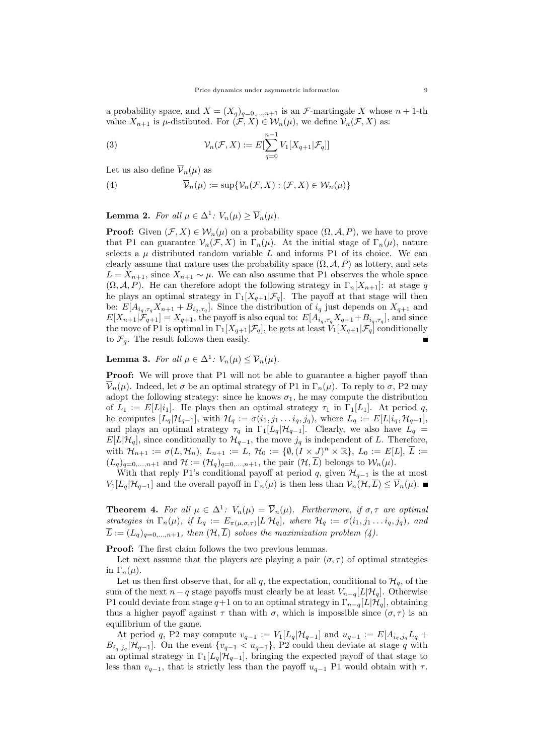a probability space, and  $X = (X_q)_{q=0,\dots,n+1}$  is an *F*-martingale X whose  $n + 1$ -th value  $X_{n+1}$  is  $\mu$ -distibuted. For  $(\mathcal{F}, X) \in \mathcal{W}_n(\mu)$ , we define  $\mathcal{V}_n(\mathcal{F}, X)$  as:

(3) 
$$
\mathcal{V}_n(\mathcal{F}, X) := E[\sum_{q=0}^{n-1} V_1[X_{q+1}|\mathcal{F}_q]]
$$

Let us also define  $\overline{\mathcal{V}}_n(\mu)$  as

(4) 
$$
\overline{\mathcal{V}}_n(\mu) := \sup \{ \mathcal{V}_n(\mathcal{F}, X) : (\mathcal{F}, X) \in \mathcal{W}_n(\mu) \}
$$

**Lemma 2.** For all  $\mu \in \Delta^1$ :  $V_n(\mu) \ge \overline{V}_n(\mu)$ .

**Proof:** Given  $(\mathcal{F}, X) \in \mathcal{W}_n(\mu)$  on a probability space  $(\Omega, \mathcal{A}, P)$ , we have to prove that P1 can guarantee  $\mathcal{V}_n(\mathcal{F}, X)$  in  $\Gamma_n(\mu)$ . At the initial stage of  $\Gamma_n(\mu)$ , nature selects a  $\mu$  distributed random variable L and informs P1 of its choice. We can clearly assume that nature uses the probability space  $(\Omega, \mathcal{A}, P)$  as lottery, and sets  $L = X_{n+1}$ , since  $X_{n+1} \sim \mu$ . We can also assume that P1 observes the whole space  $(\Omega, \mathcal{A}, P)$ . He can therefore adopt the following strategy in  $\Gamma_n[X_{n+1}]$ : at stage q he plays an optimal strategy in  $\Gamma_1[X_{q+1}|\mathcal{F}_q]$ . The payoff at that stage will then be:  $E[A_{i_q, \tau_q}X_{n+1} + B_{i_q, \tau_q}]$ . Since the distribution of  $i_q$  just depends on  $X_{q+1}$  and  $E[X_{n+1}|\mathcal{F}_{q+1}] = X_{q+1}$ , the payoff is also equal to:  $E[A_{i_q,\tau_q}X_{q+1} + B_{i_q,\tau_q}]$ , and since the move of P1 is optimal in  $\Gamma_1[X_{q+1}|\mathcal{F}_q]$ , he gets at least  $V_1[X_{q+1}|\mathcal{F}_q]$  conditionally to  $\mathcal{F}_q$ . The result follows then easily.

**Lemma 3.** For all  $\mu \in \Delta^1$ :  $V_n(\mu) \le \overline{V}_n(\mu)$ .

Proof: We will prove that P1 will not be able to guarantee a higher payoff than  $\overline{\mathcal{V}}_n(\mu)$ . Indeed, let  $\sigma$  be an optimal strategy of P1 in  $\Gamma_n(\mu)$ . To reply to  $\sigma$ , P2 may adopt the following strategy: since he knows  $\sigma_1$ , he may compute the distribution of  $L_1 := E[L|i_1]$ . He plays then an optimal strategy  $\tau_1$  in  $\Gamma_1[L_1]$ . At period q, he computes  $[L_q|\mathcal{H}_{q-1}]$ , with  $\mathcal{H}_q := \sigma(i_1, j_1 \ldots i_q, j_q)$ , where  $L_q := E[L|i_q, \mathcal{H}_{q-1}]$ , and plays an optimal strategy  $\tau_q$  in  $\Gamma_1[L_q|\mathcal{H}_{q-1}]$ . Clearly, we also have  $L_q$  $E[L|\mathcal{H}_q]$ , since conditionally to  $\mathcal{H}_{q-1}$ , the move  $j_q$  is independent of L. Therefore, with  $\mathcal{H}_{n+1} := \sigma(L, \mathcal{H}_n), L_{n+1} := L, \mathcal{H}_0 := \{\emptyset, (I \times J)^n \times \mathbb{R}\}, L_0 := E[L], \overline{L} :=$  $(L_q)_{q=0,\ldots,n+1}$  and  $\mathcal{H} := (\mathcal{H}_q)_{q=0,\ldots,n+1}$ , the pair  $(\mathcal{H}, \overline{L})$  belongs to  $\mathcal{W}_n(\mu)$ .

With that reply P1's conditional payoff at period q, given  $\mathcal{H}_{q-1}$  is the at most  $V_1[L_q|\mathcal{H}_{q-1}]$  and the overall payoff in  $\Gamma_n(\mu)$  is then less than  $\mathcal{V}_n(\mathcal{H},\overline{L}) \leq \overline{\mathcal{V}}_n(\mu)$ .

**Theorem 4.** For all  $\mu \in \Delta^1$ :  $V_n(\mu) = \overline{V}_n(\mu)$ . Furthermore, if  $\sigma, \tau$  are optimal strategies in  $\Gamma_n(\mu)$ , if  $L_q := E_{\pi(\mu,\sigma,\tau)}[L|\mathcal{H}_q]$ , where  $\mathcal{H}_q := \sigma(i_1, j_1 \ldots i_q, j_q)$ , and  $\overline{L} := (L_q)_{q=0,\ldots,n+1}$ , then  $(\mathcal{H}, \overline{L})$  solves the maximization problem (4).

Proof: The first claim follows the two previous lemmas.

Let next assume that the players are playing a pair  $(\sigma, \tau)$  of optimal strategies in  $\Gamma_n(\mu)$ .

Let us then first observe that, for all q, the expectation, conditional to  $\mathcal{H}_q$ , of the sum of the next  $n - q$  stage payoffs must clearly be at least  $V_{n-q}[L|\mathcal{H}_q]$ . Otherwise P1 could deviate from stage  $q+1$  on to an optimal strategy in  $\Gamma_{n-q}[L|\mathcal{H}_q]$ , obtaining thus a higher payoff against  $\tau$  than with  $\sigma$ , which is impossible since  $(\sigma, \tau)$  is an equilibrium of the game.

At period q, P2 may compute  $v_{q-1} := V_1[L_q|\mathcal{H}_{q-1}]$  and  $u_{q-1} := E[A_{i_q,j_q}L_q +$  $B_{i_q,j_q}[\mathcal{H}_{q-1}]$ . On the event  $\{v_{q-1} < u_{q-1}\}$ , P2 could then deviate at stage q with an optimal strategy in  $\Gamma_1[L_q|\mathcal{H}_{q-1}]$ , bringing the expected payoff of that stage to less than  $v_{q-1}$ , that is strictly less than the payoff  $u_{q-1}$  P1 would obtain with  $\tau$ .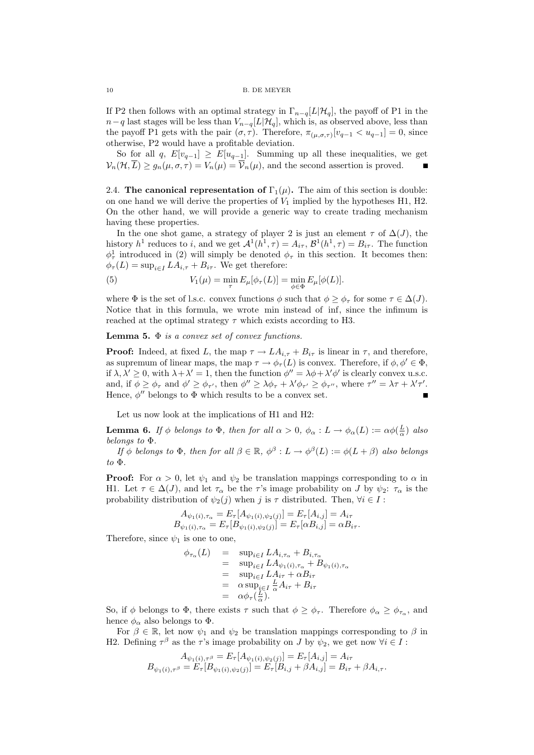If P2 then follows with an optimal strategy in  $\Gamma_{n-q}[L|\mathcal{H}_q]$ , the payoff of P1 in the  $n-q$  last stages will be less than  $V_{n-q}[L|\mathcal{H}_q]$ , which is, as observed above, less than the payoff P1 gets with the pair  $(\sigma, \tau)$ . Therefore,  $\pi_{(\mu, \sigma, \tau)}[v_{q-1} < u_{q-1}] = 0$ , since otherwise, P2 would have a profitable deviation.

So for all q,  $E[v_{q-1}] \ge E[u_{q-1}]$ . Summing up all these inequalities, we get  $V_n(\mathcal{H},\overline{L}) \geq g_n(\mu,\sigma,\tau) = V_n(\mu) = \overline{V}_n(\mu)$ , and the second assertion is proved.

2.4. The canonical representation of  $\Gamma_1(\mu)$ . The aim of this section is double: on one hand we will derive the properties of  $V_1$  implied by the hypotheses H1, H2. On the other hand, we will provide a generic way to create trading mechanism having these properties.

In the one shot game, a strategy of player 2 is just an element  $\tau$  of  $\Delta(J)$ , the history  $h^1$  reduces to i, and we get  $\mathcal{A}^1(h^1, \tau) = A_{i\tau}$ ,  $\mathcal{B}^1(h^1, \tau) = B_{i\tau}$ . The function  $\phi_{\tau}^1$  introduced in (2) will simply be denoted  $\phi_{\tau}$  in this section. It becomes then:  $\phi_{\tau}(L) = \sup_{i \in I} LA_{i,\tau} + B_{i\tau}$ . We get therefore:

(5) 
$$
V_1(\mu) = \min_{\tau} E_{\mu}[\phi_{\tau}(L)] = \min_{\phi \in \Phi} E_{\mu}[\phi(L)].
$$

where  $\Phi$  is the set of l.s.c. convex functions  $\phi$  such that  $\phi \geq \phi_{\tau}$  for some  $\tau \in \Delta(J)$ . Notice that in this formula, we wrote min instead of inf, since the infimum is reached at the optimal strategy  $\tau$  which exists according to H3.

**Lemma 5.**  $\Phi$  is a convex set of convex functions.

**Proof:** Indeed, at fixed L, the map  $\tau \to LA_{i,\tau} + B_{i\tau}$  is linear in  $\tau$ , and therefore, as supremum of linear maps, the map  $\tau \to \phi_{\tau}(L)$  is convex. Therefore, if  $\phi, \phi' \in \Phi$ , if  $\lambda, \lambda' \geq 0$ , with  $\lambda + \lambda' = 1$ , then the function  $\phi'' = \lambda \phi + \lambda' \phi'$  is clearly convex u.s.c. and, if  $\phi \ge \phi_{\tau}$  and  $\phi' \ge \phi_{\tau'}$ , then  $\phi'' \ge \lambda \phi_{\tau} + \lambda' \phi_{\tau'} \ge \phi_{\tau''}$ , where  $\tau'' = \lambda \tau + \lambda' \tau'$ . Hence,  $\phi''$  belongs to  $\Phi$  which results to be a convex set.  $\blacksquare$ 

Let us now look at the implications of H1 and H2:

**Lemma 6.** If  $\phi$  belongs to  $\Phi$ , then for all  $\alpha > 0$ ,  $\phi_{\alpha}: L \to \phi_{\alpha}(L) := \alpha \phi(\frac{L}{\alpha})$  also belongs to Φ.

If  $\phi$  belongs to  $\Phi$ , then for all  $\beta \in \mathbb{R}$ ,  $\phi^{\beta}: L \to \phi^{\beta}(L) := \phi(L + \beta)$  also belongs to  $\Phi$ .

**Proof:** For  $\alpha > 0$ , let  $\psi_1$  and  $\psi_2$  be translation mappings corresponding to  $\alpha$  in H1. Let  $\tau \in \Delta(J)$ , and let  $\tau_{\alpha}$  be the  $\tau$ 's image probability on J by  $\psi_2$ :  $\tau_{\alpha}$  is the probability distribution of  $\psi_2(j)$  when j is  $\tau$  distributed. Then,  $\forall i \in I$ :

$$
A_{\psi_1(i),\tau_{\alpha}} = E_{\tau}[A_{\psi_1(i),\psi_2(j)}] = E_{\tau}[A_{i,j}] = A_{i\tau}
$$
  
\n
$$
B_{\psi_1(i),\tau_{\alpha}} = E_{\tau}[B_{\psi_1(i),\psi_2(j)}] = E_{\tau}[\alpha B_{i,j}] = \alpha B_{i\tau}.
$$

Therefore, since  $\psi_1$  is one to one,

$$
\phi_{\tau_{\alpha}}(L) = \sup_{i \in I} LA_{i, \tau_{\alpha}} + B_{i, \tau_{\alpha}}
$$
  
\n
$$
= \sup_{i \in I} LA_{\psi_1(i), \tau_{\alpha}} + B_{\psi_1(i), \tau_{\alpha}}
$$
  
\n
$$
= \sup_{i \in I} LA_{i\tau} + \alpha B_{i\tau}
$$
  
\n
$$
= \alpha \sup_{i \in I} \frac{L}{\alpha} A_{i\tau} + B_{i\tau}
$$
  
\n
$$
= \alpha \phi_{\tau}(\frac{L}{\alpha}).
$$

So, if  $\phi$  belongs to  $\Phi$ , there exists  $\tau$  such that  $\phi \geq \phi_{\tau}$ . Therefore  $\phi_{\alpha} \geq \phi_{\tau_{\alpha}}$ , and hence  $\phi_{\alpha}$  also belongs to  $\Phi$ .

For  $\beta \in \mathbb{R}$ , let now  $\psi_1$  and  $\psi_2$  be translation mappings corresponding to  $\beta$  in H2. Defining  $\tau^{\beta}$  as the  $\tau$ 's image probability on J by  $\psi_2$ , we get now  $\forall i \in I$ :

$$
A_{\psi_1(i),\tau^\beta} = E_\tau[A_{\psi_1(i),\psi_2(j)}] = E_\tau[A_{i,j}] = A_{i\tau}
$$
  

$$
B_{\psi_1(i),\tau^\beta} = E_\tau[B_{\psi_1(i),\psi_2(j)}] = E_\tau[B_{i,j} + \beta A_{i,j}] = B_{i\tau} + \beta A_{i,\tau}.
$$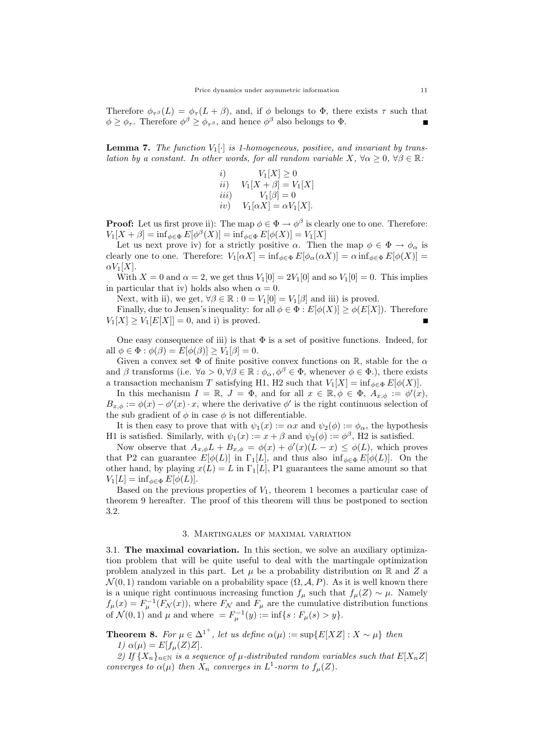Therefore  $\phi_{\tau,\beta}(L) = \phi_{\tau}(L+\beta)$ , and, if  $\phi$  belongs to  $\Phi$ , there exists  $\tau$  such that  $\phi \geq \phi_{\tau}$ . Therefore  $\phi^{\beta} \geq \phi_{\tau^{\beta}}$ , and hence  $\phi^{\beta}$  also belongs to  $\Phi$ .

**Lemma 7.** The function  $V_1[\cdot]$  is 1-homogeneous, positive, and invariant by translation by a constant. In other words, for all random variable  $X$ ,  $\forall \alpha \geq 0$ ,  $\forall \beta \in \mathbb{R}$ :

*i*) 
$$
V_1[X] \ge 0
$$
  
\n*ii*) 
$$
V_1[X + \beta] = V_1[X]
$$
  
\n*iii*) 
$$
V_1[\beta] = 0
$$
  
\n*iv*) 
$$
V_1[\alpha X] = \alpha V_1[X].
$$

**Proof:** Let us first prove ii): The map  $\phi \in \Phi \to \phi^{\beta}$  is clearly one to one. Therefore:  $V_1[X + \beta] = \inf_{\phi \in \Phi} E[\phi^{\beta}(X)] = \inf_{\phi \in \Phi} E[\phi(X)] = V_1[X]$ 

Let us next prove iv) for a strictly positive  $\alpha$ . Then the map  $\phi \in \Phi \to \phi_{\alpha}$  is clearly one to one. Therefore:  $V_1[\alpha X] = \inf_{\phi \in \Phi} E[\phi_\alpha(\alpha X)] = \alpha \inf_{\phi \in \Phi} E[\phi(X)] =$  $\alpha V_1[X]$ .

With  $X = 0$  and  $\alpha = 2$ , we get thus  $V_1[0] = 2V_1[0]$  and so  $V_1[0] = 0$ . This implies in particular that iv) holds also when  $\alpha = 0$ .

Next, with ii), we get,  $\forall \beta \in \mathbb{R} : 0 = V_1[0] = V_1[\beta]$  and iii) is proved.

Finally, due to Jensen's inequality: for all  $\phi \in \Phi : E[\phi(X)] \geq \phi(E[X])$ . Therefore  $V_1[X] \geq V_1[E[X]] = 0$ , and i) is proved.

One easy consequence of iii) is that  $\Phi$  is a set of positive functions. Indeed, for all  $\phi \in \Phi : \phi(\beta) = E[\phi(\beta)] \ge V_1[\beta] = 0.$ 

Given a convex set  $\Phi$  of finite positive convex functions on  $\mathbb{R}$ , stable for the  $\alpha$ and  $\beta$  transforms (i.e.  $\forall a > 0, \forall \beta \in \mathbb{R} : \phi_{\alpha}, \phi^{\beta} \in \Phi$ , whenever  $\phi \in \Phi$ .), there exists a transaction mechanism T satisfying H1, H2 such that  $V_1[X] = \inf_{\phi \in \Phi} E[\phi(X)].$ 

In this mechanism  $I = \mathbb{R}$ ,  $J = \Phi$ , and for all  $x \in \mathbb{R}$ ,  $\phi \in \Phi$ ,  $A_{x,\phi} := \phi'(x)$ ,  $B_{x,\phi} := \phi(x) - \phi'(x) \cdot x$ , where the derivative  $\phi'$  is the right continuous selection of the sub gradient of  $\phi$  in case  $\phi$  is not differentiable.

It is then easy to prove that with  $\psi_1(x) := \alpha x$  and  $\psi_2(\phi) := \phi_\alpha$ , the hypothesis H1 is satisfied. Similarly, with  $\psi_1(x) := x + \beta$  and  $\psi_2(\phi) := \phi^{\beta}$ , H2 is satisfied.

Now observe that  $A_{x,\phi}L + B_{x,\phi} = \phi(x) + \phi'(x)(L - x) \leq \phi(L)$ , which proves that P2 can guarantee  $E[\phi(L)]$  in  $\Gamma_1[L]$ , and thus also  $\inf_{\phi \in \Phi} E[\phi(L)]$ . On the other hand, by playing  $x(L) = L$  in  $\Gamma_1[L]$ , P1 guarantees the same amount so that  $V_1[L] = \inf_{\phi \in \Phi} E[\phi(L)].$ 

Based on the previous properties of  $V_1$ , theorem 1 becomes a particular case of theorem 9 hereafter. The proof of this theorem will thus be postponed to section 3.2.

## 3. Martingales of maximal variation

3.1. The maximal covariation. In this section, we solve an auxiliary optimization problem that will be quite useful to deal with the martingale optimization problem analyzed in this part. Let  $\mu$  be a probability distribution on  $\mathbb R$  and  $Z$  a  $\mathcal{N}(0, 1)$  random variable on a probability space  $(\Omega, \mathcal{A}, P)$ . As it is well known there is a unique right continuous increasing function  $f_\mu$  such that  $f_\mu(Z) \sim \mu$ . Namely  $f_{\mu}(x) = F_{\mu}^{-1}(F_{\mathcal{N}}(x))$ , where  $F_{\mathcal{N}}$  and  $F_{\mu}$  are the cumulative distribution functions of  $\mathcal{N}(0, 1)$  and  $\mu$  and where  $= F_{\mu}^{-1}(y) := \inf\{s : F_{\mu}(s) > y\}.$ 

**Theorem 8.** For  $\mu \in \Delta^{1^+}$ , let us define  $\alpha(\mu) := \sup \{ E[XZ] : X \sim \mu \}$  then 1)  $\alpha(\mu) = E[f_{\mu}(Z)Z].$ 

2) If  ${X_n}_{n\in\mathbb{N}}$  is a sequence of  $\mu$ -distributed random variables such that  $E[X_nZ]$ converges to  $\alpha(\mu)$  then  $X_n$  converges in  $L^1$ -norm to  $f_\mu(Z)$ .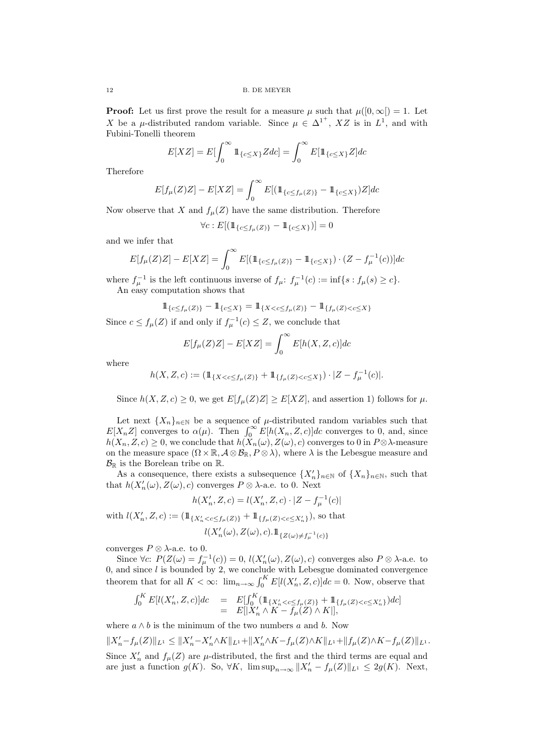**Proof:** Let us first prove the result for a measure  $\mu$  such that  $\mu([0,\infty]) = 1$ . Let X be a  $\mu$ -distributed random variable. Since  $\mu \in {\Delta}^{1}$ <sup>+</sup>, XZ is in  $L^1$ , and with Fubini-Tonelli theorem

$$
E[XZ] = E\left[\int_0^\infty \mathbb{1}_{\{c \le X\}} Zdc\right] = \int_0^\infty E\left[\mathbb{1}_{\{c \le X\}} Z\right] dc
$$

Therefore

$$
E[f_{\mu}(Z)Z] - E[XZ] = \int_0^{\infty} E[(1\mathbb{1}_{\{c \le f_{\mu}(Z)\}} - 1\mathbb{1}_{\{c \le X\}})Z]dc
$$

Now observe that X and  $f_{\mu}(Z)$  have the same distribution. Therefore

$$
\forall c : E[(\mathbb{1}_{\{c \le f_\mu(Z)\}} - \mathbb{1}_{\{c \le X\}})] = 0
$$

and we infer that

$$
E[f_{\mu}(Z)Z] - E[XZ] = \int_0^{\infty} E[(1\mathbb{1}_{\{c \le f_{\mu}(Z)\}} - 1\mathbb{1}_{\{c \le X\}}) \cdot (Z - f_{\mu}^{-1}(c))]dc
$$

where  $f_{\mu}^{-1}$  is the left continuous inverse of  $f_{\mu}$ :  $f_{\mu}^{-1}(c) := \inf\{s : f_{\mu}(s) \geq c\}.$ 

An easy computation shows that

$$
\mathbb{1}_{\{c \le f_{\mu}(Z)\}} - \mathbb{1}_{\{c \le X\}} = \mathbb{1}_{\{X < c \le f_{\mu}(Z)\}} - \mathbb{1}_{\{f_{\mu}(Z) < c \le X\}}
$$
\n7. if and only if  $f = 1$  (s)  $\le Z$ , we conclude that

Since  $c \le f_{\mu}(Z)$  if and only if  $f_{\mu}^{-1}(c) \le Z$ , we conclude that

$$
E[f_{\mu}(Z)Z] - E[XZ] = \int_0^\infty E[h(X, Z, c)]dc
$$

where

$$
h(X, Z, c) := (\mathbb{1}_{\{X < c \le f_\mu(Z)\}} + \mathbb{1}_{\{f_\mu(Z) < c \le X\}}) \cdot |Z - f_\mu^{-1}(c)|.
$$

Since  $h(X, Z, c) \geq 0$ , we get  $E[f_u(Z)Z] \geq E[XZ]$ , and assertion 1) follows for  $\mu$ .

Let next  $\{X_n\}_{n\in\mathbb{N}}$  be a sequence of  $\mu$ -distributed random variables such that  $E[X_n Z]$  converges to  $\alpha(\mu)$ . Then  $\int_0^\infty E[h(X_n, Z, c)]dc$  converges to 0, and, since  $h(X_n, Z, c) \geq 0$ , we conclude that  $h(X_n(\omega), Z(\omega), c)$  converges to 0 in  $P \otimes \lambda$ -measure on the measure space  $(\Omega \times \mathbb{R}, \mathcal{A} \otimes \mathcal{B}_{\mathbb{R}}, P \otimes \lambda)$ , where  $\lambda$  is the Lebesgue measure and  $\mathcal{B}_{\mathbb{R}}$  is the Borelean tribe on  $\mathbb{R}$ .

As a consequence, there exists a subsequence  $\{X_n'\}_{n\in\mathbb{N}}$  of  $\{X_n\}_{n\in\mathbb{N}}$ , such that that  $h(X'_n(\omega), Z(\omega), c)$  converges  $P \otimes \lambda$ -a.e. to 0. Next

$$
h(X'_n, Z, c) = l(X'_n, Z, c) \cdot |Z - f_{\mu}^{-1}(c)|
$$

with  $l(X'_n, Z, c) := (\mathbb{1}_{\{X'_n < c \le f_\mu(Z)\}} + \mathbb{1}_{\{f_\mu(Z) < c \le X'_n\}}),$  so that  $l(X'_n(\omega), Z(\omega), c) . \mathbb{1}_{\{Z(\omega)\neq f_n^{-1}(c)\}}$ 

converges  $P \otimes \lambda$ -a.e. to 0.

Since  $\forall c: P(Z(\omega) = f_\mu^{-1}(c)) = 0, l(X'_n(\omega), Z(\omega), c)$  converges also  $P \otimes \lambda$ -a.e. to 0, and since  $l$  is bounded by 2, we conclude with Lebesgue dominated convergence theorem that for all  $K < \infty$ :  $\lim_{n \to \infty} \int_0^K E[l(X'_n, Z, c)]dc = 0$ . Now, observe that

$$
\int_0^K E[l(X'_n, Z, c)]dc = E[\int_0^K (\mathbb{1}_{\{X'_n < c \le f_\mu(Z)\}} + \mathbb{1}_{\{f_\mu(Z) < c \le X'_n\}})dc] \n= E[|X'_n \wedge K - f_\mu(Z) \wedge K|],
$$

where  $a \wedge b$  is the minimum of the two numbers a and b. Now

 $\|X_n'-f_\mu(Z)\|_{L^1}\leq \|X_n'-X_n'\wedge K\|_{L^1}+\|X_n'\wedge K-f_\mu(Z)\wedge K\|_{L^1}+\|f_\mu(Z)\wedge K-f_\mu(Z)\|_{L^1}.$ Since  $X'_n$  and  $f_\mu(Z)$  are  $\mu$ -distributed, the first and the third terms are equal and are just a function  $g(K)$ . So,  $\forall K$ ,  $\limsup_{n\to\infty} ||X'_n - f_\mu(Z)||_{L^1} \leq 2g(K)$ . Next,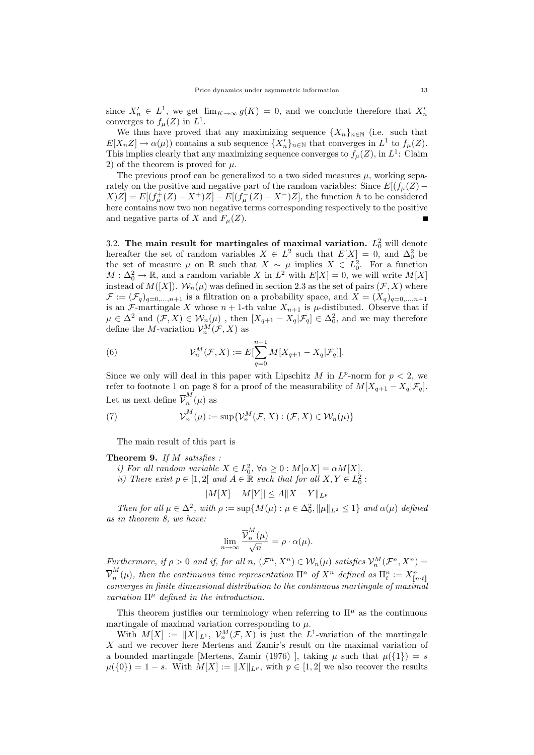since  $X'_n \in L^1$ , we get  $\lim_{K \to \infty} g(K) = 0$ , and we conclude therefore that  $X'_n$ converges to  $f_{\mu}(Z)$  in  $L^1$ .

We thus have proved that any maximizing sequence  $\{X_n\}_{n\in\mathbb{N}}$  (i.e. such that  $E[X_n Z] \to \alpha(\mu)$  contains a sub sequence  $\{X'_n\}_{n\in\mathbb{N}}$  that converges in  $L^1$  to  $f_{\mu}(Z)$ . This implies clearly that any maximizing sequence converges to  $f_{\mu}(Z)$ , in  $L^1$ : Claim 2) of the theorem is proved for  $\mu$ .

The previous proof can be generalized to a two sided measures  $\mu$ , working separately on the positive and negative part of the random variables: Since  $E[(f_{\mu}(Z) [X|Z] = E[(f^+_\mu(Z) - X^+)Z] - E[(f^-_\mu(Z) - X^-)Z]$ , the function h to be considered here contains now two non negative terms corresponding respectively to the positive and negative parts of X and  $F_u(Z)$ .

3.2. The main result for martingales of maximal variation.  $L_0^2$  will denote hereafter the set of random variables  $X \in L^2$  such that  $E[X] = 0$ , and  $\Delta_0^2$  be the set of measure  $\mu$  on R such that  $X \sim \mu$  implies  $X \in L_0^2$ . For a function  $M:\Delta_0^2\to\mathbb{R}$ , and a random variable X in  $L^2$  with  $E[X]=0$ , we will write  $M[X]$ instead of  $M([X])$ .  $W_n(\mu)$  was defined in section 2.3 as the set of pairs  $(\mathcal{F}, X)$  where  $\mathcal{F} := (\mathcal{F}_q)_{q=0,\ldots,n+1}$  is a filtration on a probability space, and  $X = (X_q)_{q=0,\ldots,n+1}$ is an F-martingale X whose  $n + 1$ -th value  $X_{n+1}$  is  $\mu$ -distibuted. Observe that if  $\mu \in \Delta^2$  and  $(\mathcal{F}, X) \in \mathcal{W}_n(\mu)$ , then  $[X_{q+1} - X_q | \mathcal{F}_q] \in \Delta_0^2$ , and we may therefore define the *M*-variation  $\mathcal{V}_n^M(\mathcal{F}, X)$  as

(6) 
$$
\mathcal{V}_n^M(\mathcal{F}, X) := E[\sum_{q=0}^{n-1} M[X_{q+1} - X_q | \mathcal{F}_q]].
$$

Since we only will deal in this paper with Lipschitz  $M$  in  $L^p$ -norm for  $p < 2$ , we refer to footnote 1 on page 8 for a proof of the measurability of  $M[X_{q+1} - X_q | \mathcal{F}_q]$ . Let us next define  $\overline{\mathcal{V}}_n^M$  $\binom{n}{n}(\mu)$  as

(7) 
$$
\overline{\mathcal{V}}_n^M(\mu) := \sup \{ \mathcal{V}_n^M(\mathcal{F}, X) : (\mathcal{F}, X) \in \mathcal{W}_n(\mu) \}
$$

The main result of this part is

Theorem 9. If M satisfies :

- i) For all random variable  $X \in L_0^2$ ,  $\forall \alpha \geq 0$  :  $M[\alpha X] = \alpha M[X]$ .
- *ii*) There exist  $p \in [1,2]$  and  $A \in \mathbb{R}$  such that for all  $X, Y \in L_0^2$ :

$$
|M[X] - M[Y]| \le A||X - Y||_{L^p}
$$

Then for all  $\mu \in \Delta^2$ , with  $\rho := \sup \{ M(\mu) : \mu \in \Delta_0^2, ||\mu||_{L^2} \leq 1 \}$  and  $\alpha(\mu)$  defined as in theorem 8, we have:

$$
\lim_{n \to \infty} \frac{\overline{\mathcal{V}}_n^M(\mu)}{\sqrt{n}} = \rho \cdot \alpha(\mu).
$$

Furthermore, if  $\rho > 0$  and if, for all  $n, (\mathcal{F}^n, X^n) \in \mathcal{W}_n(\mu)$  satisfies  $\mathcal{V}^M_n(\mathcal{F}^n, X^n) =$  $\overline{\mathcal{V}}_n^M$  $\mathbb{R}^m_n(\mu)$ , then the continuous time representation  $\Pi^n$  of  $X^n$  defined as  $\Pi^n_t := X^n_{\llbracket n \cdot t \rrbracket}$ converges in finite dimensional distribution to the continuous martingale of maximal variation  $\Pi^{\mu}$  defined in the introduction.

This theorem justifies our terminology when referring to  $\Pi^{\mu}$  as the continuous martingale of maximal variation corresponding to  $\mu$ .

With  $M[X] := ||X||_{L^1}$ ,  $\mathcal{V}_n^M(\mathcal{F}, X)$  is just the  $L^1$ -variation of the martingale X and we recover here Mertens and Zamir's result on the maximal variation of a bounded martingale [Mertens, Zamir (1976)], taking  $\mu$  such that  $\mu({1}) = s$  $\mu({0}) = 1 - s$ . With  $M[X] := ||X||_{L^p}$ , with  $p \in [1, 2]$  we also recover the results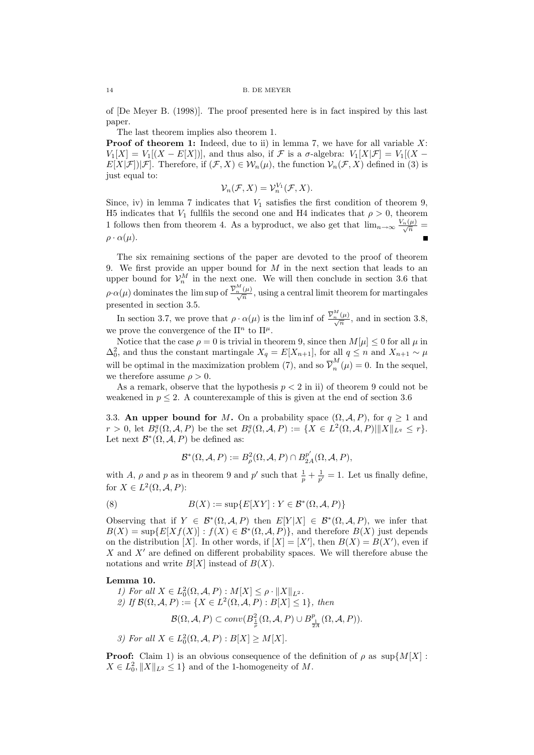of [De Meyer B. (1998)]. The proof presented here is in fact inspired by this last paper.

The last theorem implies also theorem 1.

**Proof of theorem 1:** Indeed, due to ii) in lemma 7, we have for all variable  $X$ :  $V_1[X] = V_1[(X - E[X])]$ , and thus also, if  $\mathcal F$  is a  $\sigma$ -algebra:  $V_1[X|\mathcal F] = V_1[(X - E[X])]$ .  $E[X|\mathcal{F}]||\mathcal{F}|$ . Therefore, if  $(\mathcal{F}, X) \in \mathcal{W}_n(\mu)$ , the function  $\mathcal{V}_n(\mathcal{F}, X)$  defined in (3) is just equal to:

$$
\mathcal{V}_n(\mathcal{F}, X) = \mathcal{V}_n^{V_1}(\mathcal{F}, X).
$$

Since, iv) in lemma 7 indicates that  $V_1$  satisfies the first condition of theorem 9, H5 indicates that  $V_1$  fullfils the second one and H4 indicates that  $\rho > 0$ , theorem 1 follows then from theorem 4. As a byproduct, we also get that  $\lim_{n\to\infty}\frac{V_n(\mu)}{\sqrt{n}}=$  $\rho \cdot \alpha(\mu)$ .

The six remaining sections of the paper are devoted to the proof of theorem 9. We first provide an upper bound for  $M$  in the next section that leads to an upper bound for  $\mathcal{V}_n^M$  in the next one. We will then conclude in section 3.6 that  $\rho \cdot \alpha(\mu)$  dominates the lim sup of  $\frac{\overline{V}_n^M(\mu)}{\sqrt{n}}$ , using a central limit theorem for martingales presented in section 3.5.

In section 3.7, we prove that  $\rho \cdot \alpha(\mu)$  is the liminf of  $\frac{\overline{\mathcal{V}}_n^M(\mu)}{\sqrt{n}}$ , and in section 3.8, we prove the convergence of the  $\Pi^n$  to  $\Pi^n$ .

Notice that the case  $\rho = 0$  is trivial in theorem 9, since then  $M[\mu] \leq 0$  for all  $\mu$  in  $\Delta_0^2$ , and thus the constant martingale  $X_q = E[X_{n+1}]$ , for all  $q \leq n$  and  $X_{n+1} \sim \mu$ will be optimal in the maximization problem (7), and so  $\overline{\mathcal{V}}_n^M$  $\binom{n}{n}$  ( $\mu$ ) = 0. In the sequel, we therefore assume  $\rho > 0$ .

As a remark, observe that the hypothesis  $p < 2$  in ii) of theorem 9 could not be weakened in  $p \leq 2$ . A counterexample of this is given at the end of section 3.6

3.3. An upper bound for M. On a probability space  $(\Omega, \mathcal{A}, P)$ , for  $q \ge 1$  and  $r > 0$ , let  $B_r^q(\Omega, \mathcal{A}, P)$  be the set  $B_r^q(\Omega, \mathcal{A}, P) := \{ X \in L^2(\Omega, \mathcal{A}, P) | ||X||_{L^q} \le r \}.$ Let next  $\mathcal{B}^*(\Omega, \mathcal{A}, P)$  be defined as:

$$
\mathcal{B}^*(\Omega,\mathcal{A},P):=B^2_\rho(\Omega,\mathcal{A},P)\cap B^{p'}_{2A}(\Omega,\mathcal{A},P),
$$

with A,  $\rho$  and p as in theorem 9 and p' such that  $\frac{1}{p} + \frac{1}{p'} = 1$ . Let us finally define, for  $X \in L^2(\Omega, \mathcal{A}, P)$ :

(8) 
$$
B(X) := \sup\{E[XY] : Y \in \mathcal{B}^*(\Omega, \mathcal{A}, P)\}
$$

Observing that if  $Y \in \mathcal{B}^*(\Omega, \mathcal{A}, P)$  then  $E[Y|X] \in \mathcal{B}^*(\Omega, \mathcal{A}, P)$ , we infer that  $B(X) = \sup \{ E[X f(X)] : f(X) \in \mathcal{B}^*(\Omega, \mathcal{A}, P) \},$  and therefore  $B(X)$  just depends on the distribution [X]. In other words, if  $[X] = [X']$ , then  $B(X) = B(X')$ , even if X and  $X'$  are defined on different probability spaces. We will therefore abuse the notations and write  $B[X]$  instead of  $B(X)$ .

#### Lemma 10.

1) For all 
$$
X \in L_0^2(\Omega, \mathcal{A}, P) : M[X] \le \rho \cdot ||X||_{L^2}
$$
.  
\n2) If  $\mathcal{B}(\Omega, \mathcal{A}, P) := \{X \in L^2(\Omega, \mathcal{A}, P) : B[X] \le 1\}$ , then  
\n
$$
\mathcal{B}(\Omega, \mathcal{A}, P) \subset conv(B_{\frac{1}{\rho}}^2(\Omega, \mathcal{A}, P) \cup B_{\frac{1}{2A}}^p(\Omega, \mathcal{A}, P)).
$$

3) For all  $X \in L_0^2(\Omega, \mathcal{A}, P) : B[X] \geq M[X]$ .

**Proof:** Claim 1) is an obvious consequence of the definition of  $\rho$  as sup  $\{M[X]:\}$  $X \in L_0^2, \|X\|_{L^2} \leq 1$  and of the 1-homogeneity of M.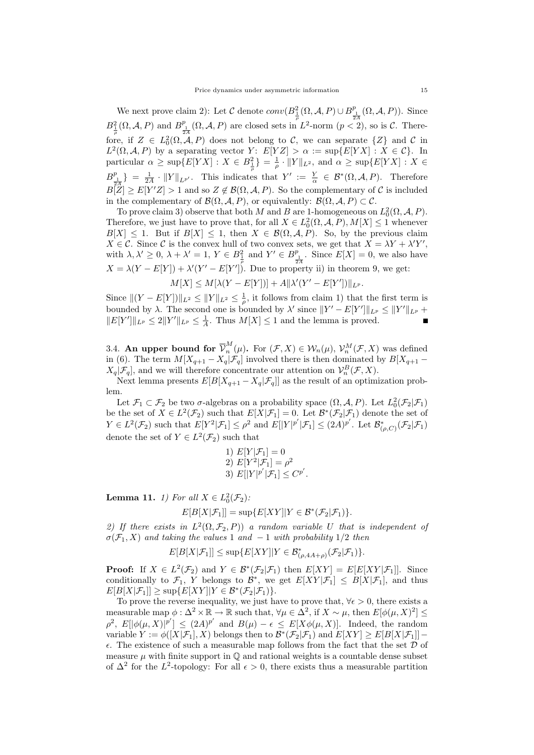We next prove claim 2): Let C denote  $conv(B_{\frac{1}{p}}^2(\Omega, \mathcal{A}, P) \cup B_{\frac{1}{2A}}^p(\Omega, \mathcal{A}, P))$ . Since  $B_{\frac{1}{\rho}}^{2}(\Omega, \mathcal{A}, P)$  and  $B_{\frac{1}{24}}^{p}(\Omega, \mathcal{A}, P)$  are closed sets in  $L^{2}$ -norm  $(p < 2)$ , so is C. Therefore, if  $Z \in L_0^2(\Omega, \mathcal{A}, P)$  does not belong to C, we can separate  $\{Z\}$  and C in  $L^2(\Omega, \mathcal{A}, P)$  by a separating vector  $Y: E[YZ] > \alpha := \sup\{E[YX] : X \in \mathcal{C}\}.$  In particular  $\alpha \ge \sup\{E[YX]: X \in B_{\frac{1}{\rho}}^2\} = \frac{1}{\rho} \cdot ||Y||_{L^2}$ , and  $\alpha \ge \sup\{E[YX]: X \in$  $B_{\frac{1}{2A}}^p$  =  $\frac{1}{2A} \cdot ||Y||_{L^{p'}}$ . This indicates that  $Y' := \frac{Y}{\alpha} \in \mathcal{B}^*(\Omega, \mathcal{A}, P)$ . Therefore  $B[\tilde{Z}] \geq E[Y'Z] > 1$  and so  $Z \notin \mathcal{B}(\Omega, \mathcal{A}, P)$ . So the complementary of C is included in the complementary of  $\mathcal{B}(\Omega, \mathcal{A}, P)$ , or equivalently:  $\mathcal{B}(\Omega, \mathcal{A}, P) \subset \mathcal{C}$ .

To prove claim 3) observe that both M and B are 1-homogeneous on  $L_0^2(\Omega, \mathcal{A}, P)$ . Therefore, we just have to prove that, for all  $X \in L_0^2(\Omega, \mathcal{A}, P), M[X] \leq 1$  whenever  $B[X] \leq 1$ . But if  $B[X] \leq 1$ , then  $X \in \mathcal{B}(\Omega, \mathcal{A}, P)$ . So, by the previous claim  $X \in \mathcal{C}$ . Since  $\mathcal{C}$  is the convex hull of two convex sets, we get that  $X = \lambda Y + \lambda' Y'$ , with  $\lambda, \lambda' \geq 0$ ,  $\lambda + \lambda' = 1$ ,  $Y \in B_{\frac{1}{\rho}}^2$  and  $Y' \in B_{\frac{1}{2A}}^p$ . Since  $E[X] = 0$ , we also have  $X = \lambda (Y - E[Y]) + \lambda'(Y' - E[Y'])$ . Due to property ii) in theorem 9, we get:

 $M[X] \leq M[\lambda(Y - E[Y])] + A \|\lambda'(Y' - E[Y'])\|_{L^p}.$ 

Since  $\|(Y - E[Y])\|_{L^2} \leq \|Y\|_{L^2} \leq \frac{1}{\rho}$ , it follows from claim 1) that the first term is bounded by  $\lambda$ . The second one is bounded by  $\lambda'$  since  $||Y' - E[Y']||_{L^p} \le ||Y'||_{L^p} +$  $||E[Y']||_{L^p} \leq 2||Y'||_{L^p} \leq \frac{1}{A}$ . Thus  $M[X] \leq 1$  and the lemma is proved.  $\blacksquare$ 

3.4. An upper bound for  $\overline{\mathcal{V}}_n^M$  $\mathcal{W}_n(\mu)$ . For  $(\mathcal{F}, X) \in \mathcal{W}_n(\mu)$ ,  $\mathcal{V}_n^M(\mathcal{F}, X)$  was defined in (6). The term  $M[X_{q+1} - X_q | \mathcal{F}_q]$  involved there is then dominated by  $B[X_{q+1} - X_q | \mathcal{F}_q]$  $X_q|\mathcal{F}_q|$ , and we will therefore concentrate our attention on  $\mathcal{V}_n^B(\mathcal{F}, X)$ .

Next lemma presents  $E[B[X_{q+1}-X_q|\mathcal{F}_q]]$  as the result of an optimization problem.

Let  $\mathcal{F}_1 \subset \mathcal{F}_2$  be two  $\sigma$ -algebras on a probability space  $(\Omega, \mathcal{A}, P)$ . Let  $L_0^2(\mathcal{F}_2 | \mathcal{F}_1)$ be the set of  $X \in L^2(\mathcal{F}_2)$  such that  $E[X|\mathcal{F}_1] = 0$ . Let  $\mathcal{B}^*(\mathcal{F}_2|\mathcal{F}_1)$  denote the set of  $Y \in L^2(\mathcal{F}_2)$  such that  $E[Y^2|\mathcal{F}_1] \leq \rho^2$  and  $E[|Y|^{p'}|\mathcal{F}_1] \leq (2A)^{p'}$ . Let  $\mathcal{B}^*_{(\rho,C)}(\mathcal{F}_2|\mathcal{F}_1)$ denote the set of  $Y \in L^2(\mathcal{F}_2)$  such that

1) 
$$
E[Y|\mathcal{F}_1] = 0
$$
  
\n2)  $E[Y^2|\mathcal{F}_1] = \rho^2$   
\n3)  $E[|Y|^{p'}|\mathcal{F}_1] \leq C^{p'}$ .

**Lemma 11.** *1)* For all  $X \in L_0^2(\mathcal{F}_2)$ :

$$
E[B[X|\mathcal{F}_1]] = \sup \{ E[XY] | Y \in \mathcal{B}^*(\mathcal{F}_2|\mathcal{F}_1) \}.
$$

2) If there exists in  $L^2(\Omega, \mathcal{F}_2, P)$  a random variable U that is independent of  $\sigma(\mathcal{F}_1, X)$  and taking the values 1 and -1 with probability 1/2 then

 $E[B[X|\mathcal{F}_1]] \leq \sup \{E[XY] | Y \in \mathcal{B}_{(\rho, 4A+\rho)}^*(\mathcal{F}_2|\mathcal{F}_1)\}.$ 

**Proof:** If  $X \in L^2(\mathcal{F}_2)$  and  $Y \in \mathcal{B}^*(\mathcal{F}_2|\mathcal{F}_1)$  then  $E[XY] = E[E[XY|\mathcal{F}_1]]$ . Since conditionally to  $\mathcal{F}_1$ , Y belongs to  $\mathcal{B}^*$ , we get  $E[XY|\mathcal{F}_1] \leq B[X|\mathcal{F}_1]$ , and thus  $E[B[X|\mathcal{F}_1]] \ge \sup\{E[XY]|Y \in \mathcal{B}^*(\mathcal{F}_2|\mathcal{F}_1)\}.$ 

To prove the reverse inequality, we just have to prove that,  $\forall \epsilon > 0$ , there exists a measurable map  $\phi : \Delta^2 \times \mathbb{R} \to \mathbb{R}$  such that,  $\forall \mu \in \Delta^2$ , if  $X \sim \mu$ , then  $E[\phi(\mu, X)^2] \le$  $\rho^2$ ,  $E[|\phi(\mu, X)|^{p'}] \leq (2A)^{p'}$  and  $B(\mu) - \epsilon \leq E[X\phi(\mu, X)]$ . Indeed, the random variable  $Y := \phi([X|\mathcal{F}_1], X)$  belongs then to  $\mathcal{B}^*(\mathcal{F}_2|\mathcal{F}_1)$  and  $E[XY] \ge E[B[X|\mathcal{F}_1]]$  –  $\epsilon$ . The existence of such a measurable map follows from the fact that the set  $\mathcal D$  of measure  $\mu$  with finite support in  $\mathbb Q$  and rational weights is a countable dense subset of  $\Delta^2$  for the L<sup>2</sup>-topology: For all  $\epsilon > 0$ , there exists thus a measurable partition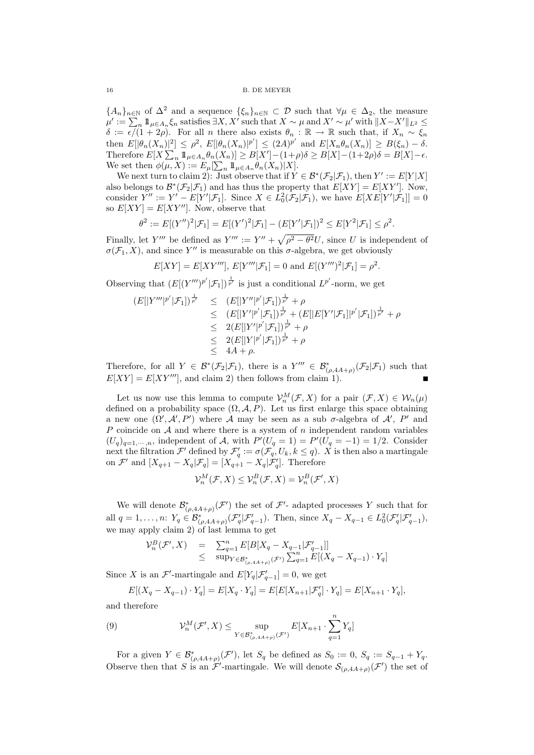${A_n}_{n\in\mathbb{N}}$  of  $\Delta^2$  and a sequence  $\{\xi_n\}_{n\in\mathbb{N}}\subset\mathcal{D}$  such that  $\forall\mu\in\Delta_2$ , the measure  $\mu' := \sum_n 1\!\!1_{\mu \in A_n} \xi_n$  satisfies  $\exists X, X'$  such that  $X \sim \mu$  and  $X' \sim \mu'$  with  $||X - X'||_{L^2} \le$  $\delta := \epsilon/(1 + 2\rho)$ . For all n there also exists  $\theta_n : \mathbb{R} \to \mathbb{R}$  such that, if  $X_n \sim \xi_n$ then  $E[|\theta_n(X_n)|^2] \leq \rho^2$ ,  $E[|\theta_n(X_n)|^{p'}] \leq (2A)^{p'}$  and  $E[X_n\theta_n(X_n)] \geq B(\xi_n) - \delta$ . Therefore  $E[X] \sum_{n} 1 \mathbb{1}_{\mu \in A_n} \theta_n(X_n) \leq B[X'] - (1+\rho)\delta \geq B[X] - (1+2\rho)\delta = B[X] - \epsilon.$ We set then  $\phi(\mu, X) := E_{\mu}[\sum_{n} 1\!\!1_{\mu \in A_n} \theta_n(X_n)|X].$ 

We next turn to claim 2): Just observe that if  $Y \in \mathcal{B}^*(\mathcal{F}_2|\mathcal{F}_1)$ , then  $Y' := E[Y|X]$ also belongs to  $\mathcal{B}^*(\mathcal{F}_2|\mathcal{F}_1)$  and has thus the property that  $E[XY] = E[XY']$ . Now, consider  $Y'' := Y' - E[Y'|\mathcal{F}_1]$ . Since  $X \in L_0^2(\mathcal{F}_2|\mathcal{F}_1)$ , we have  $E[XE[Y'|\mathcal{F}_1]] = 0$ so  $E[XY] = E[XY'']$ . Now, observe that

$$
\theta^2 := E[(Y'')^2 | \mathcal{F}_1] = E[(Y')^2 | \mathcal{F}_1] - (E[Y' | \mathcal{F}_1])^2 \le E[Y^2 | \mathcal{F}_1] \le \rho^2.
$$

Finally, let Y''' be defined as  $Y''' := Y'' + \sqrt{\rho^2 - \theta^2} U$ , since U is independent of  $\sigma(\mathcal{F}_1, X)$ , and since Y'' is measurable on this  $\sigma$ -algebra, we get obviously

$$
E[XY] = E[XY'''], E[Y''' | \mathcal{F}_1] = 0
$$
 and  $E[(Y''')^2 | \mathcal{F}_1] = \rho^2$ .

Observing that  $(E[(Y''')^{p'}|\mathcal{F}_1])^{\frac{1}{p'}}$  is just a conditional  $L^{p'}$ -norm, we get

$$
(E[|Y'''|^{p'}|\mathcal{F}_1])^{\frac{1}{p'}} \leq (E[|Y''|^{p'}|\mathcal{F}_1])^{\frac{1}{p'}} + \rho
$$
  
\n
$$
\leq (E[|Y'|^{p'}|\mathcal{F}_1])^{\frac{1}{p'}} + (E[|E[Y'|\mathcal{F}_1]|^{p'}|\mathcal{F}_1])^{\frac{1}{p'}} + \rho
$$
  
\n
$$
\leq 2(E[|Y'|^{p'}|\mathcal{F}_1])^{\frac{1}{p'}} + \rho
$$
  
\n
$$
\leq 4A + \rho.
$$

Therefore, for all  $Y \in \mathcal{B}^*(\mathcal{F}_2|\mathcal{F}_1)$ , there is a  $Y''' \in \mathcal{B}^*_{(\rho,4A+\rho)}(\mathcal{F}_2|\mathcal{F}_1)$  such that  $E[XY] = E[XY''']$ , and claim 2) then follows from claim 1.

Let us now use this lemma to compute  $\mathcal{V}_n^M(\mathcal{F}, X)$  for a pair  $(\mathcal{F}, X) \in \mathcal{W}_n(\mu)$ defined on a probability space  $(\Omega, \mathcal{A}, P)$ . Let us first enlarge this space obtaining a new one  $(\Omega', \mathcal{A}', P')$  where A may be seen as a sub  $\sigma$ -algebra of  $\mathcal{A}', P'$  and P coincide on A and where there is a system of n independent random variables  $(U_q)_{q=1,\dots,n}$ , independent of A, with  $P'(U_q = 1) = P'(U_q = -1) = 1/2$ . Consider next the filtration  $\mathcal{F}'$  defined by  $\mathcal{F}'_q := \sigma(\mathcal{F}_q, U_k, k \leq q)$ . X is then also a martingale on  $\mathcal{F}'$  and  $[X_{q+1} - X_q | \mathcal{F}_q] = [X_{q+1} - X_q | \mathcal{F}'_q]$ . Therefore

$$
\mathcal{V}_n^M(\mathcal{F}, X) \leq \mathcal{V}_n^B(\mathcal{F}, X) = \mathcal{V}_n^B(\mathcal{F}', X)
$$

We will denote  $\mathcal{B}_{(\rho,4A+\rho)}^*(\mathcal{F}')$  the set of  $\mathcal{F}'$ - adapted processes Y such that for all  $q = 1, ..., n$ :  $Y_q \in \mathcal{B}_{(\rho, 4A+\rho)}^*(\mathcal{F}_q'|\mathcal{F}_{q-1}').$  Then, since  $X_q - X_{q-1} \in L_0^2(\mathcal{F}_q'|\mathcal{F}_{q-1}'),$ we may apply claim 2) of last lemma to get

$$
\mathcal{V}_n^B(\mathcal{F}', X) = \sum_{q=1}^n E[B[X_q - X_{q-1} | \mathcal{F}'_{q-1}]]
$$
  
 
$$
\leq \sup_{Y \in \mathcal{B}^*_{(p,4A+\rho)}(\mathcal{F}')} \sum_{q=1}^n E[(X_q - X_{q-1}) \cdot Y_q]
$$

Since X is an  $\mathcal{F}'$ -martingale and  $E[Y_q|\mathcal{F}'_{q-1}] = 0$ , we get

$$
E[(X_q - X_{q-1}) \cdot Y_q] = E[X_q \cdot Y_q] = E[E[X_{n+1} | \mathcal{F}'_q] \cdot Y_q] = E[X_{n+1} \cdot Y_q],
$$

and therefore

(9) 
$$
\mathcal{V}_n^M(\mathcal{F}', X) \leq \sup_{Y \in \mathcal{B}_{(\rho, 4A+\rho)}^*(\mathcal{F}')} E[X_{n+1} \cdot \sum_{q=1}^n Y_q]
$$

For a given  $Y \in \mathcal{B}_{(\rho,4A+\rho)}^*(\mathcal{F}')$ , let  $S_q$  be defined as  $S_0 := 0$ ,  $S_q := S_{q-1} + Y_q$ . Observe then that S is an  $\mathcal{F}'$ -martingale. We will denote  $\mathcal{S}_{(\rho,4A+\rho)}(\mathcal{F}')$  the set of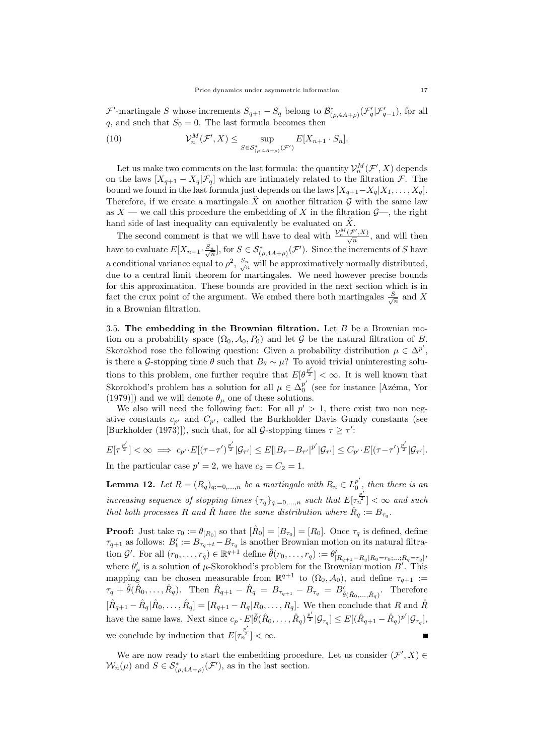$\mathcal{F}'$ -martingale S whose increments  $S_{q+1} - S_q$  belong to  $\mathcal{B}_{(\rho,4A+\rho)}^*(\mathcal{F}'_q|\mathcal{F}'_{q-1})$ , for all q, and such that  $S_0 = 0$ . The last formula becomes then

(10) 
$$
\mathcal{V}_n^M(\mathcal{F}', X) \leq \sup_{S \in \mathcal{S}_{(\rho, 4A+\rho)}^*(\mathcal{F}')} E[X_{n+1} \cdot S_n].
$$

Let us make two comments on the last formula: the quantity  $\mathcal{V}_n^M(\mathcal{F}',X)$  depends on the laws  $[X_{q+1} - X_q | \mathcal{F}_q]$  which are intimately related to the filtration  $\mathcal{F}$ . The bound we found in the last formula just depends on the laws  $[X_{q+1}-X_q|X_1,\ldots,X_q]$ . Therefore, if we create a martingale  $\tilde{X}$  on another filtration G with the same law as  $X$  — we call this procedure the embedding of X in the filtration  $\mathcal{G}$ —, the right hand side of last inequality can equivalently be evaluated on  $\tilde{X}$ .

The second comment is that we will have to deal with  $\frac{\mathcal{V}_n^M(\mathcal{F}',X)}{\sqrt{n}}$ , and will then have to evaluate  $E[X_{n+1} \cdot \frac{S_n}{\sqrt{n}}]$ , for  $S \in \mathcal{S}^*_{(\rho, 4A+\rho)}(\mathcal{F}')$ . Since the increments of S have a conditional variance equal to  $\rho^2$ ,  $\frac{S_n}{\sqrt{n}}$  will be approximatively normally distributed, due to a central limit theorem for martingales. We need however precise bounds for this approximation. These bounds are provided in the next section which is in fact the crux point of the argument. We embed there both martingales  $\frac{S}{\sqrt{n}}$  and X in a Brownian filtration.

3.5. The embedding in the Brownian filtration. Let  $B$  be a Brownian motion on a probability space  $(\Omega_0, \mathcal{A}_0, P_0)$  and let G be the natural filtration of B. Skorokhod rose the following question: Given a probability distribution  $\mu \in \Delta^{p'}$ , is there a G-stopping time  $\theta$  such that  $B_{\theta} \sim \mu$ ? To avoid trivial uninteresting solutions to this problem, one further require that  $E[\theta^{\frac{p'}{2}}] < \infty$ . It is well known that Skorokhod's problem has a solution for all  $\mu \in \Delta_0^{p'}$  $_0^p$  (see for instance [Azéma, Yor (1979)]) and we will denote  $\theta_{\mu}$  one of these solutions.

We also will need the following fact: For all  $p' > 1$ , there exist two non negative constants  $c_{p'}$  and  $C_{p'}$ , called the Burkholder Davis Gundy constants (see [Burkholder (1973)]), such that, for all *G*-stopping times  $\tau \geq \tau'$ :

$$
E[\tau^{\frac{p'}{2}}]<\infty \implies c_{p'} \cdot E[(\tau-\tau')^{\frac{p'}{2}}|\mathcal{G}_{\tau'}] \leq E[|B_{\tau}-B_{\tau'}|^{p'}|\mathcal{G}_{\tau'}] \leq C_{p'} \cdot E[(\tau-\tau')^{\frac{p'}{2}}|\mathcal{G}_{\tau'}].
$$
  
In the particular case  $p'=2$ , we have  $c_2=C_2=1$ .

**Lemma 12.** Let  $R = (R_q)_{q:=0,...,n}$  be a martingale with  $R_n \in L_0^{p'}$  $_0^p$  , then there is an increasing sequence of stopping times  $\{\tau_q\}_{q:=0,\dots,n}$  such that  $E[\tau_n^{\frac{p'}{2}}]<\infty$  and such that both processes R and  $\hat{R}$  have the same distribution where  $\hat{R}_q := B_{\tau_q}$ .

**Proof:** Just take  $\tau_0 := \theta_{[R_0]}$  so that  $[\hat{R}_0] = [B_{\tau_0}] = [R_0]$ . Once  $\tau_q$  is defined, defined  $\tau_{q+1}$  as follows:  $B_t' := B_{\tau_q+t} - B_{\tau_q}$  is another Brownian motion on its natural filtration G'. For all  $(r_0, ..., r_q) \in \mathbb{R}^{q+1}$  define  $\tilde{\theta}(r_0, ..., r_q) := \theta'_{[R_{q+1}-R_q|R_0=r_0; ...; R_q=r_q]}$ where  $\theta'_{\mu}$  is a solution of  $\mu$ -Skorokhod's problem for the Brownian motion  $B'$ . This mapping can be chosen measurable from  $\mathbb{R}^{q+1}$  to  $(\Omega_0, \mathcal{A}_0)$ , and define  $\tau_{q+1}$ :  $\tau_q + \tilde{\theta}(\hat{R}_0, \ldots, \hat{R}_q)$ . Then  $\hat{R}_{q+1} - \hat{R}_q = B_{\tau_{q+1}} - B_{\tau_q} = B'_{\tilde{\theta}(\hat{R}_0, \ldots, \hat{R}_q)}$ . Therefore  $[\hat{R}_{q+1} - \hat{R}_q | \hat{R}_0, \dots, \hat{R}_q] = [R_{q+1} - R_q | R_0, \dots, R_q].$  We then conclude that R and  $\hat{R}$ have the same laws. Next since  $c_p \cdot E[\tilde{\theta}(\hat{R}_0, \dots, \hat{R}_q)^{\frac{p'}{2}} | \mathcal{G}_{\tau_q}] \leq E[(\hat{R}_{q+1} - \hat{R}_q)^{p'} | \mathcal{G}_{\tau_q}]$ we conclude by induction that  $E[\tau_n^{\frac{p'}{2}}] < \infty$ .

We are now ready to start the embedding procedure. Let us consider  $(\mathcal{F}', X) \in$  $W_n(\mu)$  and  $S \in \mathcal{S}_{(\rho, 4A+\rho)}^*(\mathcal{F}')$ , as in the last section.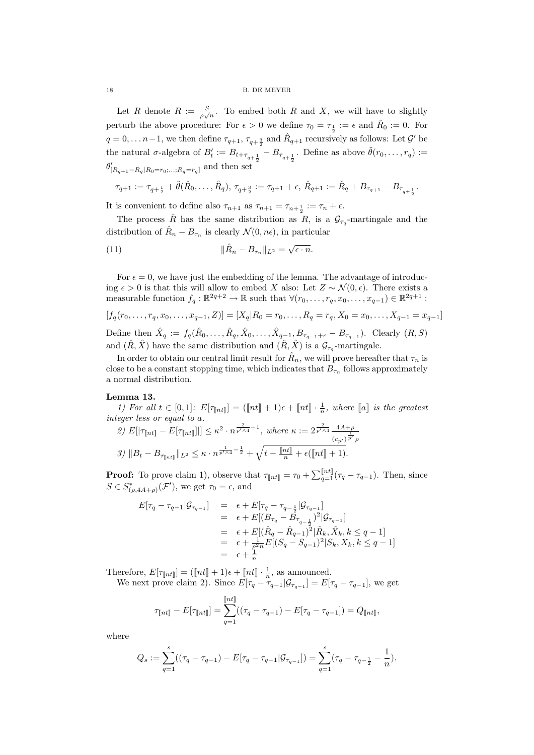Let R denote  $R := \frac{S}{\rho \sqrt{n}}$ . To embed both R and X, we will have to slightly perturb the above procedure: For  $\epsilon > 0$  we define  $\tau_0 = \tau_{\frac{1}{2}} := \epsilon$  and  $\hat{R}_0 := 0$ . For  $q = 0, \ldots n-1$ , we then define  $\tau_{q+1}, \tau_{q+\frac{3}{2}}$  and  $\hat{R}_{q+1}$  recursively as follows: Let  $\mathcal{G}'$  be the natural  $\sigma$ -algebra of  $B'_t := B_{t+\tau_{q+\frac{1}{2}}} - B_{\tau_{q+\frac{1}{2}}}$ . Define as above  $\tilde{\theta}(r_0, \ldots, r_q) :=$  $\theta'_{[R_{q+1}-R_q|R_0=r_0;\ldots;R_q=r_q]}$  and then set

$$
\tau_{q+1} := \tau_{q+\frac{1}{2}} + \tilde{\theta}(\hat{R}_0, \dots, \hat{R}_q), \ \tau_{q+\frac{3}{2}} := \tau_{q+1} + \epsilon, \ \hat{R}_{q+1} := \hat{R}_q + B_{\tau_{q+1}} - B_{\tau_{q+\frac{1}{2}}}.
$$

It is convenient to define also  $\tau_{n+1}$  as  $\tau_{n+1} = \tau_{n+\frac{1}{2}} := \tau_n + \epsilon$ .

The process  $\hat{R}$  has the same distribution as  $R$ , is a  $\mathcal{G}_{\tau_q}$ -martingale and the distribution of  $\hat{R}_n - B_{\tau_n}$  is clearly  $\mathcal{N}(0, n\epsilon)$ , in particular

(11) 
$$
\|\hat{R}_n - B_{\tau_n}\|_{L^2} = \sqrt{\epsilon \cdot n}.
$$

For  $\epsilon = 0$ , we have just the embedding of the lemma. The advantage of introducing  $\epsilon > 0$  is that this will allow to embed X also: Let  $Z \sim \mathcal{N}(0, \epsilon)$ . There exists a measurable function  $f_q : \mathbb{R}^{2q+2} \to \mathbb{R}$  such that  $\forall (r_0, \ldots, r_q, x_0, \ldots, x_{q-1}) \in \mathbb{R}^{2q+1}$ :

$$
[f_q(r_0, \ldots, r_q, x_0, \ldots, x_{q-1}, Z)] = [X_q | R_0 = r_0, \ldots, R_q = r_q, X_0 = x_0, \ldots, X_{q-1} = x_{q-1}]
$$

Define then  $\hat{X}_q := f_q(\hat{R}_0, \ldots, \hat{R}_q, \hat{X}_0, \ldots, \hat{X}_{q-1}, B_{\tau_{q-1}+\epsilon} - B_{\tau_{q-1}})$ . Clearly  $(R, S)$ and  $(\hat{R}, \hat{X})$  have the same distribution and  $(\hat{R}, \hat{X})$  is a  $\mathcal{G}_{\tau_q}$ -martingale.

In order to obtain our central limit result for  $\hat{R}_n$ , we will prove hereafter that  $\tau_n$  is close to be a constant stopping time, which indicates that  $B_{\tau_n}$  follows approximately a normal distribution.

## Lemma 13.

1) For all 
$$
t \in [0, 1]
$$
:  $E[\tau_{\lfloor nt \rfloor}] = (\lfloor nt \rfloor + 1)\epsilon + \lfloor nt \rfloor \cdot \frac{1}{n}$ , where  $\lfloor a \rfloor$  is the greatest integer less or equal to a.  
\n2)  $E[|\tau_{\lfloor nt \rfloor} - E[\tau_{\lfloor nt \rfloor}]|] \le \kappa^2 \cdot n^{\frac{2}{p' \wedge 4} - 1}$ , where  $\kappa := 2^{\frac{2}{p' \wedge 4}} \frac{4A + \rho}{(\epsilon_{p'})^{\frac{1}{p'}} \rho}$   
\n3)  $||B_t - B_{\tau_{\lfloor nt \rfloor}}||_{L^2} \le \kappa \cdot n^{\frac{1}{p' \wedge 4} - \frac{1}{2}} + \sqrt{t - \frac{\lfloor nt \rfloor}{n} + \epsilon(\lfloor nt \rfloor + 1)}$ .

**Proof:** To prove claim 1), observe that  $\tau_{\llbracket nt \rrbracket} = \tau_0 + \sum_{q=1}^{\llbracket nt \rrbracket} (\tau_q - \tau_{q-1})$ . Then, since  $S \in S^*_{(\rho, 4A+\rho)}(\mathcal{F}'),$  we get  $\tau_0 = \epsilon$ , and

$$
E[\tau_q - \tau_{q-1} | \mathcal{G}_{\tau_{q-1}}] = \epsilon + E[\tau_q - \tau_{q-\frac{1}{2}} | \mathcal{G}_{\tau_{q-1}}]
$$
  
\n
$$
= \epsilon + E[(B_{\tau_q} - B_{\tau_{q-\frac{1}{2}}})^2 | \mathcal{G}_{\tau_{q-1}}]
$$
  
\n
$$
= \epsilon + E[(\hat{R}_q - \hat{R}_{q-1})^2 | \hat{R}_k, \hat{X}_k, k \leq q - 1]
$$
  
\n
$$
= \epsilon + \frac{1}{q^2 n} E[(S_q - S_{q-1})^2 | S_k, X_k, k \leq q - 1]
$$
  
\n
$$
= \epsilon + \frac{1}{n}
$$

Therefore,  $E[\tau_{\llbracket nt \rrbracket}] = (\llbracket nt \rrbracket + 1)\epsilon + \llbracket nt \rrbracket \cdot \frac{1}{n}$ , as announced.

We next prove claim 2). Since  $E[\tau_q - \tau_{q-1} | \mathcal{G}_{\tau_{q-1}}] = E[\tau_q - \tau_{q-1}],$  we get  $\frac{1}{2}$ 

$$
\tau_{\llbracket nt \rrbracket} - E[\tau_{\llbracket nt \rrbracket}] = \sum_{q=1}^{\llbracket nt \rrbracket} ((\tau_q - \tau_{q-1}) - E[\tau_q - \tau_{q-1}]) = Q_{\llbracket nt \rrbracket},
$$

where

$$
Q_s := \sum_{q=1}^s ((\tau_q - \tau_{q-1}) - E[\tau_q - \tau_{q-1} | \mathcal{G}_{\tau_{q-1}}]) = \sum_{q=1}^s (\tau_q - \tau_{q-\frac{1}{2}} - \frac{1}{n}).
$$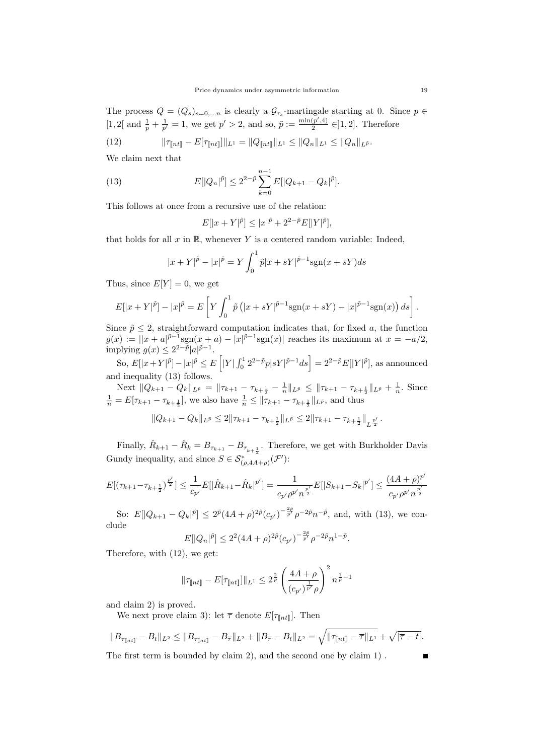The process  $Q = (Q_s)_{s=0,...n}$  is clearly a  $\mathcal{G}_{\tau_s}$ -martingale starting at 0. Since  $p \in$ [1, 2[ and  $\frac{1}{p} + \frac{1}{p'} = 1$ , we get  $p' > 2$ , and so,  $\tilde{p} := \frac{\min(p', 4)}{2}$  $\frac{(p_1,4)}{2} \in ]1,2]$ . Therefore

(12) 
$$
\|\tau_{\llbracket nt \rrbracket} - E[\tau_{\llbracket nt \rrbracket}] \|_{L^1} = \|Q_{\llbracket nt \rrbracket} \|_{L^1} \leq \|Q_n\|_{L^1} \leq \|Q_n\|_{L^{\tilde{p}}}.
$$

We claim next that

(13) 
$$
E[|Q_n|^{\tilde{p}}] \le 2^{2-\tilde{p}} \sum_{k=0}^{n-1} E[|Q_{k+1} - Q_k|^{\tilde{p}}].
$$

This follows at once from a recursive use of the relation:

$$
E[|x + Y|^{\tilde{p}}] \le |x|^{\tilde{p}} + 2^{2-\tilde{p}} E[|Y|^{\tilde{p}}],
$$

that holds for all  $x$  in  $\mathbb{R}$ , whenever  $Y$  is a centered random variable: Indeed,

$$
|x + Y|^{\tilde{p}} - |x|^{\tilde{p}} = Y \int_0^1 \tilde{p}|x + sY|^{\tilde{p}-1} \text{sgn}(x + sY) ds
$$

Thus, since  $E[Y] = 0$ , we get

$$
E[|x + Y|^{\tilde{p}}] - |x|^{\tilde{p}} = E\left[Y \int_0^1 \tilde{p}\left(|x + sY|^{\tilde{p}-1}\text{sgn}(x + sY) - |x|^{\tilde{p}-1}\text{sgn}(x)\right)ds\right].
$$

Since  $\tilde{p} \leq 2$ , straightforward computation indicates that, for fixed a, the function  $g(x) := ||x + a|^{\tilde{p}-1} \text{sgn}(x+a) - |x|^{\tilde{p}-1} \text{sgn}(x)||$  reaches its maximum at  $x = -a/2$ , implying  $g(x) \leq 2^{2-\tilde{p}} |a|^{\tilde{p}-1}$ .

So,  $E[|x+Y|^{\tilde{p}}] - |x|^{\tilde{p}} \leq E\left[|Y| \int_0^1 2^{2-\tilde{p}} p|sY|^{\tilde{p}-1} ds\right] = 2^{2-\tilde{p}} E[|Y|^{\tilde{p}}],$  as announced and inequality (13) follows.

Next  $||Q_{k+1} - Q_k||_{L^{\tilde{p}}} = ||\tau_{k+1} - \tau_{k+\frac{1}{2}} - \frac{1}{n}||_{L^{\tilde{p}}} \le ||\tau_{k+1} - \tau_{k+\frac{1}{2}}||_{L^{\tilde{p}}} + \frac{1}{n}$ . Since  $\frac{1}{n} = E[\tau_{k+1} - \tau_{k+\frac{1}{2}}],$  we also have  $\frac{1}{n} \leq ||\tau_{k+1} - \tau_{k+\frac{1}{2}}||_{L^{\bar{p}}}$ , and thus

$$
||Q_{k+1} - Q_k||_{L^{\tilde{p}}} \leq 2||\tau_{k+1} - \tau_{k+\frac{1}{2}}||_{L^{\tilde{p}}} \leq 2||\tau_{k+1} - \tau_{k+\frac{1}{2}}||_{L^{\frac{p'}{2}}}.
$$

Finally,  $\hat{R}_{k+1} - \hat{R}_k = B_{\tau_{k+1}} - B_{\tau_{k+\frac{1}{2}}}$ . Therefore, we get with Burkholder Davis Gundy inequality, and since  $S \in \mathcal{S}_{(\rho, A\bar{A}+\rho)}^* (\mathcal{F}')$ :

$$
E[(\tau_{k+1} - \tau_{k+\frac{1}{2}})^{\frac{p'}{2}}] \leq \frac{1}{c_{p'}} E[|\hat{R}_{k+1} - \hat{R}_{k}|^{p'}] = \frac{1}{c_{p'}\rho^{p'}n^{\frac{p'}{2}}} E[|S_{k+1} - S_{k}|^{p'}] \leq \frac{(4A + \rho)^{p'}}{c_{p'}\rho^{p'}n^{\frac{p'}{2}}}
$$

So:  $E[|Q_{k+1} - Q_k|^{\tilde{p}}] \leq 2^{\tilde{p}} (4A + \rho)^{2\tilde{p}} (c_{p'})^{-\frac{2\tilde{p}}{p'}} \rho^{-2\tilde{p}} n^{-\tilde{p}},$  and, with (13), we conclude

$$
E[|Q_n|^{\tilde{p}}] \le 2^2 (4A + \rho)^{2\tilde{p}} (c_{p'})^{-\frac{2\tilde{p}}{p'}} \rho^{-2\tilde{p}} n^{1-\tilde{p}}.
$$

Therefore, with (12), we get:

$$
\|\tau_{[\![nt]\!]} - E[\tau_{[\![nt]\!]}]\|_{L^1} \leq 2^{\frac{2}{\tilde{p}}} \left(\frac{4A + \rho}{(c_{p'})^{\frac{1}{p'}} \rho}\right)^2 n^{\frac{1}{\tilde{p}} - 1}
$$

and claim 2) is proved.

We next prove claim 3): let  $\bar{\tau}$  denote  $E[\tau_{\lceil nt \rceil}]$ . Then

$$
||B_{\tau_{\llbracket nt\rrbracket}} - B_t||_{L^2} \le ||B_{\tau_{\llbracket nt\rrbracket}} - B_{\overline{\tau}}||_{L^2} + ||B_{\overline{\tau}} - B_t||_{L^2} = \sqrt{||\tau_{\llbracket nt\rrbracket} - \overline{\tau}||_{L^1}} + \sqrt{|\overline{\tau} - t|}.
$$

The first term is bounded by claim 2), and the second one by claim 1) .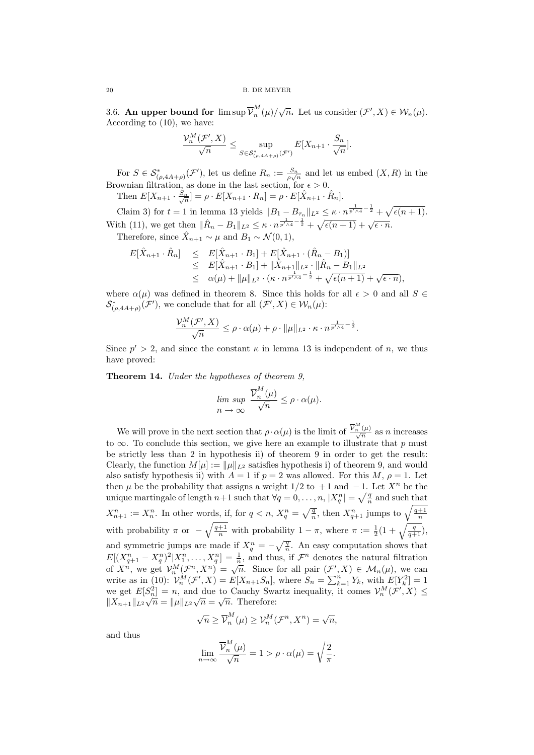3.6. An upper bound for  $\limsup \overline{\mathcal{V}}_{n}^{M}$  $_{n}^{M}(\mu)/\sqrt{n}$ . Let us consider  $(\mathcal{F}',X)\in\mathcal{W}_{n}(\mu)$ . According to (10), we have:

$$
\frac{\mathcal{V}_n^M(\mathcal{F}',X)}{\sqrt{n}} \le \sup_{S \in \mathcal{S}_{(\rho,4A+\rho)}^*(\mathcal{F}')} E[X_{n+1} \cdot \frac{S_n}{\sqrt{n}}].
$$

For  $S \in \mathcal{S}^*_{(\rho, 4A+\rho)}(\mathcal{F}')$ , let us define  $R_n := \frac{S_n}{\rho\sqrt{n}}$  and let us embed  $(X, R)$  in the Brownian filtration, as done in the last section, for  $\epsilon > 0$ . Then  $E[X_{n+1} \cdot \frac{S_n}{\sqrt{n}}] = \rho \cdot E[X_{n+1} \cdot R_n] = \rho \cdot E[\hat{X}_{n+1} \cdot \hat{R}_n].$ 

Claim 3) for  $t = 1$  in lemma 13 yields  $||B_1 - B_{\tau_n}||_{L^2} \leq \kappa \cdot n^{\frac{1}{p' \wedge 4} - \frac{1}{2}} + \sqrt{\epsilon(n+1)}$ . With (11), we get then  $\|\hat{R}_n - B_1\|_{L^2} \le \kappa \cdot n^{\frac{1}{p' \wedge 4} - \frac{1}{2}} + \sqrt{\epsilon (n+1)} + \sqrt{\epsilon \cdot n}$ . Therefore, since  $\hat{X}_{n+1} \sim \mu$  and  $B_1 \sim \mathcal{N}(0, 1)$ ,

 $\overline{D}$   $\overline{D}$   $\overline{D}$   $\overline{D}$ 

$$
E[\hat{X}_{n+1} \cdot \hat{R}_n] \leq E[\hat{X}_{n+1} \cdot B_1] + E[\hat{X}_{n+1} \cdot (\hat{R}_n - B_1)]
$$
  
\n
$$
\leq E[\hat{X}_{n+1} \cdot B_1] + ||\hat{X}_{n+1}||_{L^2} \cdot ||\hat{R}_n - B_1||_{L^2}
$$
  
\n
$$
\leq \alpha(\mu) + ||\mu||_{L^2} \cdot (\kappa \cdot n^{\frac{1}{p' \wedge 4} - \frac{1}{2}} + \sqrt{\epsilon(n+1)} + \sqrt{\epsilon \cdot n}),
$$

where  $\alpha(\mu)$  was defined in theorem 8. Since this holds for all  $\epsilon > 0$  and all  $S \in$  $\mathcal{S}_{(\rho,AA+\rho)}^*(\mathcal{F}')$ , we conclude that for all  $(\mathcal{F}',X)\in\mathcal{W}_n(\mu)$ :

$$
\frac{\mathcal{V}_n^M(\mathcal{F}',X)}{\sqrt{n}} \leq \rho \cdot \alpha(\mu) + \rho \cdot ||\mu||_{L^2} \cdot \kappa \cdot n^{\frac{1}{p' \wedge 4} - \frac{1}{2}}.
$$

Since  $p' > 2$ , and since the constant  $\kappa$  in lemma 13 is independent of n, we thus have proved:

Theorem 14. Under the hypotheses of theorem 9,

$$
\limsup_{n \to \infty} \frac{\overline{\mathcal{V}}_n^M(\mu)}{\sqrt{n}} \le \rho \cdot \alpha(\mu).
$$

We will prove in the next section that  $\rho \cdot \alpha(\mu)$  is the limit of  $\frac{\overline{V}_n^M(\mu)}{\sqrt{n}}$  as n increases to  $\infty$ . To conclude this section, we give here an example to illustrate that p must be strictly less than 2 in hypothesis ii) of theorem 9 in order to get the result: Clearly, the function  $M[\mu] := ||\mu||_{L^2}$  satisfies hypothesis i) of theorem 9, and would also satisfy hypothesis ii) with  $A = 1$  if  $p = 2$  was allowed. For this M,  $\rho = 1$ . Let then  $\mu$  be the probability that assigns a weight 1/2 to +1 and -1. Let  $X^n$  be the unique martingale of length  $n+1$  such that  $\forall q = 0, \ldots, n, |X_q^n| = \sqrt{\frac{q}{n}}$  and such that  $X_{n+1}^n := X_n^n$ . In other words, if, for  $q < n$ ,  $X_q^n = \sqrt{\frac{q}{n}}$ , then  $X_{q+1}^n$  jumps to  $\sqrt{\frac{q+1}{n}}$ with probability  $\pi$  or  $-\sqrt{\frac{q+1}{n}}$  with probability  $1-\pi$ , where  $\pi := \frac{1}{2}(1+\sqrt{\frac{q}{q+1}})$ , and symmetric jumps are made if  $X_q^n = -\sqrt{\frac{q}{n}}$ . An easy computation shows that  $E[(X_{q+1}^n - X_q^n)^2 | X_1^n, \ldots, X_q^n] = \frac{1}{n}$ , and thus, if  $\mathcal{F}^n$  denotes the natural filtration  $\mathcal{L}[(X_q+1)X_q]/[X_1], \ldots, X_q] = \frac{n}{n}$ , and thus, if y denotes the hattain intration<br>of  $X^n$ , we get  $\mathcal{V}_n^M(\mathcal{F}^n, X^n) = \sqrt{n}$ . Since for all pair  $(\mathcal{F}', X) \in \mathcal{M}_n(\mu)$ , we can write as in (10):  $\mathcal{V}_n^M(\mathcal{F}', X) = E[X_{n+1}S_n]$ , where  $S_n = \sum_{k=1}^n Y_k$ , with  $E[Y_k^2] = 1$ we get  $E[S_n^2] = n$ , and due to Cauchy Swartz inequality, it comes  $\mathcal{V}_n^M(\mathcal{F}', X) \leq$  $||X_{n+1}||_{L^2} \sqrt{n} = ||\mu||_{L^2} \sqrt{n} = \sqrt{n}$ . Therefore:

$$
\sqrt{n} \ge \overline{\mathcal{V}}_n^M(\mu) \ge \mathcal{V}_n^M(\mathcal{F}^n, X^n) = \sqrt{n},
$$

and thus

$$
\lim_{n \to \infty} \frac{\overline{\mathcal{V}}_n^M(\mu)}{\sqrt{n}} = 1 > \rho \cdot \alpha(\mu) = \sqrt{\frac{2}{\pi}}.
$$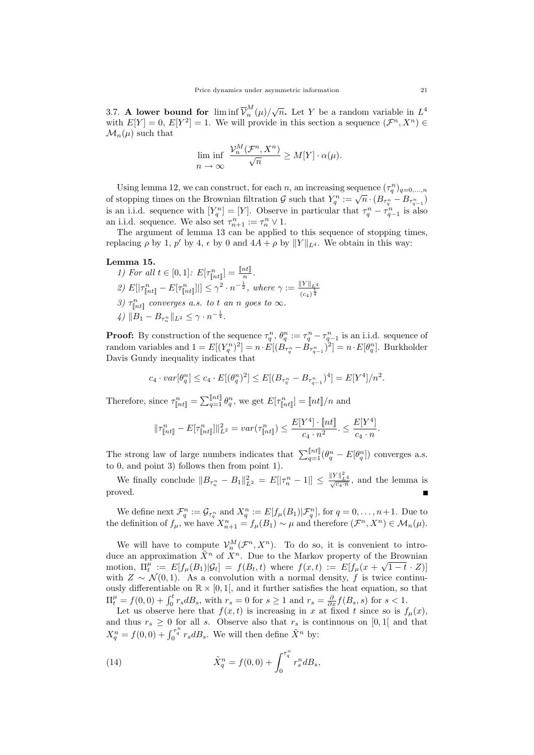3.7. A lower bound for  $\liminf \overline{\mathcal{V}}_n^M$  $\binom{M}{n}$   $\left(\mu\right)$  / $\sqrt{n}$ . Let Y be a random variable in  $L^4$ with  $E[Y] = 0$ ,  $E[Y^2] = 1$ . We will provide in this section a sequence  $(\mathcal{F}^n, X^n) \in$  $\mathcal{M}_n(\mu)$  such that

$$
\liminf_{n \to \infty} \frac{\mathcal{V}_n^M(\mathcal{F}^n, X^n)}{\sqrt{n}} \ge M[Y] \cdot \alpha(\mu).
$$

Using lemma 12, we can construct, for each n, an increasing sequence  $(\tau_q^n)_{q=0,\dots,n}$ of stopping times on the Brownian filtration G such that  $Y_q^n := \sqrt{n} \cdot (B_{\tau_q^n} - B_{\tau_{q-1}^n})$ is an i.i.d. sequence with  $[Y_q^n] = [Y]$ . Observe in particular that  $\tau_q^n - \tau_{q-1}^n$  is also an i.i.d. sequence. We also set  $\tau_{n+1}^n := \tau_n^n \vee 1$ .

The argument of lemma 13 can be applied to this sequence of stopping times, replacing  $\rho$  by 1,  $p'$  by 4,  $\epsilon$  by 0 and  $4A + \rho$  by  $||Y||_{L^4}$ . We obtain in this way:

## Lemma 15.

1) For all  $t \in [0, 1]$ :  $E[\tau_{\lbrack nt]}^{n}] = \frac{\lbrack nt \rbrack}{n}$ . 2)  $E[|\tau_{\lceil nt \rceil}^n - E[\tau_{\lceil nt \rceil}^n]|] \leq \gamma^2 \cdot n^{-\frac{1}{2}},$  where  $\gamma := \frac{\|Y\|_{L^4}}{(\gamma \cdot \frac{1}{\gamma})^{\frac{1}{4}}}$  $(c_4)^{\frac{1}{4}}$ 3)  $\tau_{\lceil nt \rceil}^n$  converges a.s. to t an n goes to  $\infty$ .  $\psi \|B_1 - B_{\tau_n^n} \|_{L^2} \leq \gamma \cdot n^{-\frac{1}{4}}.$ 

**Proof:** By construction of the sequence  $\tau_q^n$ ,  $\theta_q^n := \tau_q^n - \tau_{q-1}^n$  is an i.i.d. sequence of random variables and  $1 = E[(Y_q^n)^2] = n \cdot E[(B_{\tau_q^n} - B_{\tau_{q-1}^n})^2] = n \cdot E[\theta_q^n]$ . Burkholder Davis Gundy inequality indicates that

$$
c_4 \cdot var[\theta_q^n] \le c_4 \cdot E[(\theta_q^n)^2] \le E[(B_{\tau_q^n} - B_{\tau_{q-1}^n})^4] = E[Y^4]/n^2.
$$

Therefore, since  $\tau_{\lfloor nt \rfloor}^n = \sum_{q=1}^{\lfloor nt \rfloor} \theta_q^n$ , we get  $E[\tau_{\lfloor nt \rfloor}^n] = [\lfloor nt \rfloor/n$  and

$$
\|\tau_{\llbracket nt \rrbracket}^n - E[\tau_{\llbracket nt \rrbracket}^n] \|_{L^2}^2 = var(\tau_{\llbracket nt \rrbracket}^n) \le \frac{E[Y^4] \cdot [\llbracket nt \rrbracket]}{c_4 \cdot n^2} \le \frac{E[Y^4]}{c_4 \cdot n}.
$$

The strong law of large numbers indicates that  $\sum_{q=1}^{[nt]}(\theta_q^n - E[\theta_q^n])$  converges a.s. to 0, and point 3) follows then from point 1).

We finally conclude  $||B_{\tau_n^n} - B_1||_{L^2}^2 = E[|\tau_n^n - 1|] \le \frac{||Y||_{L^4}^2}{\sqrt{c_4 \cdot n}}$ , and the lemma is proved.

We define next  $\mathcal{F}_q^n := \mathcal{G}_{\tau_q^n}$  and  $X_q^n := E[f_\mu(B_1)|\mathcal{F}_q^n]$ , for  $q = 0, \ldots, n+1$ . Due to the definition of  $f_{\mu}$ , we have  $X_{n+1}^n = f_{\mu}(B_1) \sim \mu$  and therefore  $(\mathcal{F}^n, X^n) \in \mathcal{M}_n(\mu)$ .

We will have to compute  $\mathcal{V}_n^M(\mathcal{F}^n, X^n)$ . To do so, it is convenient to introduce an approximation  $\tilde{X}^n$  of  $X^n$ . Due to the Markov property of the Brownian motion,  $\Pi_t^{\mu} := E[f_{\mu}(B_1)|\mathcal{G}_t] = f(B_t,t)$  where  $f(x,t) := E[f_{\mu}(x+\sqrt{1-t} \cdot Z)]$ with  $Z \sim \mathcal{N}(0, 1)$ . As a convolution with a normal density, f is twice continuously differentiable on  $\mathbb{R} \times [0,1]$ , and it further satisfies the heat equation, so that  $\Pi_t^{\mu} = f(0,0) + \int_0^t r_s dB_s$ , with  $r_s = 0$  for  $s \ge 1$  and  $r_s = \frac{\partial}{\partial x} f(B_s, s)$  for  $s < 1$ .

Let us observe here that  $f(x, t)$  is increasing in x at fixed t since so is  $f_{\mu}(x)$ , and thus  $r_s \geq 0$  for all s. Observe also that  $r_s$  is continuous on [0,1] and that  $X_q^n = f(0,0) + \int_0^{\tau_q^n} r_s dB_s$ . We will then define  $\tilde{X}^n$  by:

(14) 
$$
\tilde{X}_q^n = f(0,0) + \int_0^{\tau_q^n} r_s^n dB_s,
$$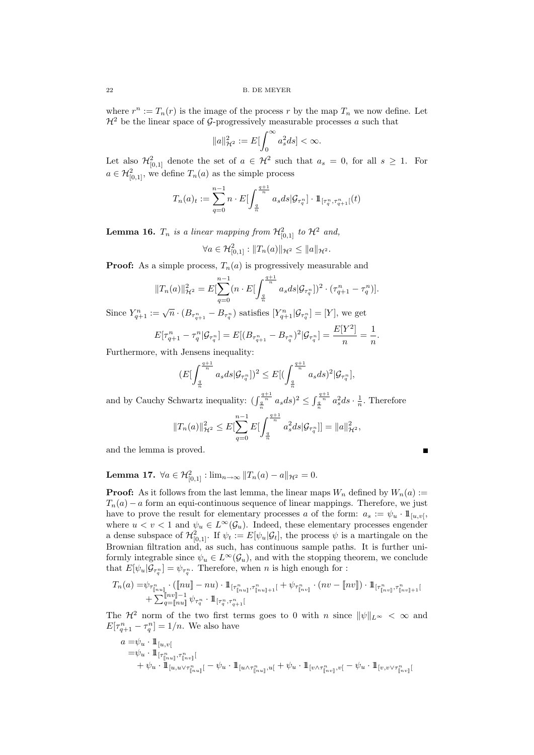where  $r^n := T_n(r)$  is the image of the process r by the map  $T_n$  we now define. Let  $\mathcal{H}^2$  be the linear space of G-progressively measurable processes a such that

$$
||a||_{\mathcal{H}^2}^2 := E\left[\int_0^\infty a_s^2 ds\right] < \infty.
$$

Let also  $\mathcal{H}_{[0,1]}^2$  denote the set of  $a \in \mathcal{H}^2$  such that  $a_s = 0$ , for all  $s \geq 1$ . For  $a \in \mathcal{H}_{[0,1]}^2$ , we define  $T_n(a)$  as the simple process

$$
T_n(a)_t := \sum_{q=0}^{n-1} n \cdot E \left[ \int_{\frac{q}{n}}^{\frac{q+1}{n}} a_s ds | \mathcal{G}_{\tau_q^n} \right] \cdot \mathbb{1}_{[\tau_q^n, \tau_{q+1}^n[}(t))
$$

**Lemma 16.**  $T_n$  is a linear mapping from  $\mathcal{H}^2_{[0,1]}$  to  $\mathcal{H}^2$  and,

$$
\forall a \in \mathcal{H}^2_{[0,1]} : ||T_n(a)||_{\mathcal{H}^2} \le ||a||_{\mathcal{H}^2}.
$$

**Proof:** As a simple process,  $T_n(a)$  is progressively measurable and

$$
||T_n(a)||_{\mathcal{H}^2}^2 = E[\sum_{q=0}^{n-1} (n \cdot E[\int_{\frac{q}{n}}^{\frac{q+1}{n}} a_s ds | \mathcal{G}_{\tau_q^n}])^2 \cdot (\tau_{q+1}^n - \tau_q^n)].
$$

Since  $Y_{q+1}^n := \sqrt{n} \cdot (B_{\tau_{q+1}^n} - B_{\tau_q^n})$  satisfies  $[Y_{q+1}^n | \mathcal{G}_{\tau_q^n}] = [Y]$ , we get

$$
E[\tau_{q+1}^n - \tau_q^n | \mathcal{G}_{\tau_q^n}] = E[(B_{\tau_{q+1}^n} - B_{\tau_q^n})^2 | \mathcal{G}_{\tau_q^n}] = \frac{E[Y^2]}{n} = \frac{1}{n}.
$$

Furthermore, with Jensens inequality:

$$
(E\left[\int_{\frac{q}{n}}^{\frac{q+1}{n}}a_s ds |\mathcal{G}_{\tau_q^n}|\right)^2 \leq E\left[\left(\int_{\frac{q}{n}}^{\frac{q+1}{n}}a_s ds\right)^2 |\mathcal{G}_{\tau_q^n}|\right],
$$

and by Cauchy Schwartz inequality:  $\left(\int_{\frac{a}{n}}^{\frac{a+1}{n}} a_s ds\right)^2 \leq \int_{\frac{a}{n}}^{\frac{a+1}{n}} a_s^2 ds \cdot \frac{1}{n}$ . Therefore

$$
||T_n(a)||_{\mathcal{H}^2}^2 \leq E[\sum_{q=0}^{n-1} E[\int_{\frac{q}{n}}^{\frac{q+1}{n}} a_s^2 ds | \mathcal{G}_{\tau_q^n}]] = ||a||_{\mathcal{H}^2}^2,
$$

and the lemma is proved.

$$
\blacksquare
$$

Lemma 17.  $\forall a \in \mathcal{H}^2_{[0,1]}: \lim_{n\to\infty} ||T_n(a) - a||_{\mathcal{H}^2} = 0.$ 

**Proof:** As it follows from the last lemma, the linear maps  $W_n$  defined by  $W_n(a)$  :=  $T_n(a) - a$  form an equi-continuous sequence of linear mappings. Therefore, we just have to prove the result for elementary processes a of the form:  $a_s := \psi_u \cdot \mathbb{1}_{[u,v]}$ where  $u < v < 1$  and  $\psi_u \in L^{\infty}(\mathcal{G}_u)$ . Indeed, these elementary processes engender a dense subspace of  $\mathcal{H}_{[0,1]}^2$ . If  $\psi_t := E[\psi_u | \mathcal{G}_t]$ , the process  $\psi$  is a martingale on the Brownian filtration and, as such, has continuous sample paths. It is further uniformly integrable since  $\psi_u \in L^{\infty}(\mathcal{G}_u)$ , and with the stopping theorem, we conclude that  $E[\psi_u | \mathcal{G}_{\tau_q^n}] = \psi_{\tau_q^n}$ . Therefore, when n is high enough for :

$$
T_n(a) = \psi_{\tau_{\lfloor nu\rfloor}^n} \cdot (\lfloor nu\rfloor - nu) \cdot 1\!\!1_{[\tau_{\lfloor nu\rfloor}^n, \tau_{\lfloor nu\rfloor+1}^n[} + \psi_{\tau_{\lfloor nu\rfloor}^n} \cdot (nv - \lfloor nv\rfloor) \cdot 1\!\!1_{[\tau_{\lfloor nu\rfloor}^n, \tau_{\lfloor nu\rfloor+1}^n[} + \sum_{q=\lfloor nu\rfloor}^{\lfloor nv\rfloor -1} \psi_{\tau_q^n} \cdot 1\!\!1_{[\tau_q^n, \tau_{q+1}^n[}
$$

The  $\mathcal{H}^2$  norm of the two first terms goes to 0 with n since  $\|\psi\|_{L^{\infty}} < \infty$  and  $E[\tau_{q+1}^n - \tau_q^n] = 1/n$ . We also have

$$
\begin{aligned} a =& \psi_u \cdot 1\!\!1_{[u,v[}\\ =& \psi_u \cdot 1\!\!1_{[\tau^n_{[\![n_u]\!]},\tau^n_{[\![n_v]\!]}[}\\ &+ \psi_u \cdot 1\!\!1_{[u,u\vee \tau^n_{[\![n_u]\!]}[}-\psi_u \cdot 1\!\!1_{[u\wedge \tau^n_{[\![n_u]\!]},u[} + \psi_u \cdot 1\!\!1_{[v\wedge \tau^n_{[\![n_v]\!]},v[} - \psi_u \cdot 1\!\!1_{[v,v\vee \tau^n_{[\![n_v]\!]}[} \end{aligned}
$$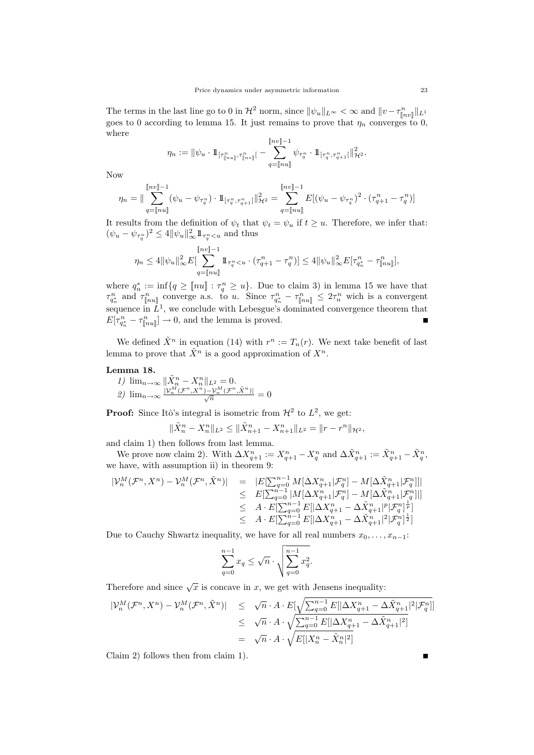The terms in the last line go to 0 in  $\mathcal{H}^2$  norm, since  $\|\psi_u\|_{L^{\infty}} < \infty$  and  $\|v - \tau_{\llbracket nv\rrbracket}^n\|_{L^1}$ goes to 0 according to lemma 15. It just remains to prove that  $\eta_n$  converges to 0. where

$$
\eta_n := \|\psi_u \cdot \mathbb{1}_{[\tau^n_{[nu]}, \tau^n_{[nv]}]} \cdot \sum_{q=[nu]}^{[nv]-1} \psi_{\tau^n_q} \cdot \mathbb{1}_{[\tau^n_q, \tau^n_{q+1}[} \|\mathcal{H}^2).
$$

Now

$$
\eta_n = \|\sum_{q=\llbracket nu\rrbracket}^{\llbracket nv\rrbracket -1} (\psi_u - \psi_{\tau_q^n}) \cdot \mathbb{1}_{[\tau_q^n, \tau_{q+1}^n[} \|_{\mathcal{H}^2}^2 = \sum_{q=\llbracket nu\rrbracket}^{\llbracket nv\rrbracket -1} E[(\psi_u - \psi_{\tau_q^n})^2 \cdot (\tau_{q+1}^n - \tau_q^n)]
$$

It results from the definition of  $\psi_t$  that  $\psi_t = \psi_u$  if  $t \geq u$ . Therefore, we infer that:  $(\psi_u - \psi_{\tau_q^n})^2 \leq 4 \|\psi_u\|_{\infty}^2 1\!\!1_{\tau_q^n \lt u}$  and thus

$$
\eta_n \le 4 \|\psi_u\|_{\infty}^2 E\left[\sum_{q=\llbracket nu \rrbracket}^{\llbracket nv \rrbracket -1} 1\!\!1_{\tau_q^n < u} \cdot (\tau_{q+1}^n - \tau_q^n)\right] \le 4 \|\psi_u\|_{\infty}^2 E[\tau_{q_n^*}^n - \tau_{\llbracket nu \rrbracket}^n],
$$

where  $q_n^* := \inf\{q \geq [nu] : \tau_q^n \geq u\}$ . Due to claim 3) in lemma 15 we have that  $\tau^n_{q_n^*}$  and  $\tau^n_{[nu]}$  converge a.s. to u. Since  $\tau^n_{q_n^*} - \tau^n_{[nu]} \leq 2\tau^n_n$  wich is a convergent sequence in  $L^1$ , we conclude with Lebesgue's dominated convergence theorem that  $E[\tau_{q_n^*}^n - \tau_{\lbrack\!\lbrack nu \rbrack}^n] \to 0$ , and the lemma is proved.  $\blacksquare$ 

We defined  $\tilde{X}^n$  in equation (14) with  $r^n := T_n(r)$ . We next take benefit of last lemma to prove that  $\tilde{X}^n$  is a good approximation of  $X^n$ .

## Lemma 18.

1) 
$$
\lim_{n \to \infty} \frac{\|\tilde{X}_n^n - X_n^n\|_{L^2} = 0}{\frac{|\mathcal{V}_n^M(\mathcal{F}^n, X^n) - \mathcal{V}_n^M(\mathcal{F}^n, \tilde{X}^n)|}{\sqrt{n}}} = 0
$$

**Proof:** Since Itô's integral is isometric from  $\mathcal{H}^2$  to  $L^2$ , we get:

$$
\|\tilde{X}_n^n - X_n^n\|_{L^2} \le \|\tilde{X}_{n+1}^n - X_{n+1}^n\|_{L^2} = \|r - r^n\|_{\mathcal{H}^2},
$$

and claim 1) then follows from last lemma.

We prove now claim 2). With  $\Delta X_{q+1}^n := X_{q+1}^n - X_q^n$  and  $\Delta \tilde{X}_{q+1}^n := \tilde{X}_{q+1}^n - \tilde{X}_q^n$ , we have, with assumption ii) in theorem 9:

$$
\begin{array}{rcl} |\mathcal{V}^M_n(\mathcal{F}^n,X^n)-\mathcal{V}^M_n(\mathcal{F}^n,\tilde{X}^n)|&=&|E[\sum_{q=0}^{n-1}M[\Delta X^n_{q+1}|\mathcal{F}^n_q]-M[\Delta \tilde{X}^n_{q+1}|\mathcal{F}^n_q]]|\\ &\leq &E[\sum_{q=0}^{n-1}|M[\Delta X^n_{q+1}|\mathcal{F}^n_q]-M[\Delta \tilde{X}^n_{q+1}|\mathcal{F}^n_q]]|\\ &\leq &A\cdot E[\sum_{q=0}^{n-1}E[|\Delta X^n_{q+1}-\Delta \tilde{X}^n_{q+1}|^p|\mathcal{F}^n_q]^{\frac{1}{p}}] \\ &\leq &A\cdot E[\sum_{q=0}^{n-1}E[|\Delta X^n_{q+1}-\Delta \tilde{X}^n_{q+1}|^2|\mathcal{F}^n_q]^{\frac{1}{2}}] \end{array}
$$

Due to Cauchy Shwartz inequality, we have for all real numbers  $x_0, \ldots, x_{n-1}$ :

$$
\sum_{q=0}^{n-1} x_q \le \sqrt{n} \cdot \sqrt{\sum_{q=0}^{n-1} x_q^2}.
$$

Therefore and since  $\sqrt{x}$  is concave in x, we get with Jensens inequality:

$$
\begin{array}{rcl} |\mathcal{V}_n^M(\mathcal{F}^n,X^n)-\mathcal{V}_n^M(\mathcal{F}^n,\tilde{X}^n)|&\leq& \sqrt{n}\cdot A\cdot E[\sqrt{\sum_{q=0}^{n-1}E[|\Delta X_{q+1}^n-\Delta \tilde{X}_{q+1}^n|^2|\mathcal{F}_q^n}]]\\&\leq& \sqrt{n}\cdot A\cdot \sqrt{\sum_{q=0}^{n-1}E[|\Delta X_{q+1}^n-\Delta \tilde{X}_{q+1}^n|^2]}\\&=& \sqrt{n}\cdot A\cdot \sqrt{E[|X_{n}^n-\tilde{X}_{n}^n|^2]} \end{array}
$$

Claim 2) follows then from claim 1).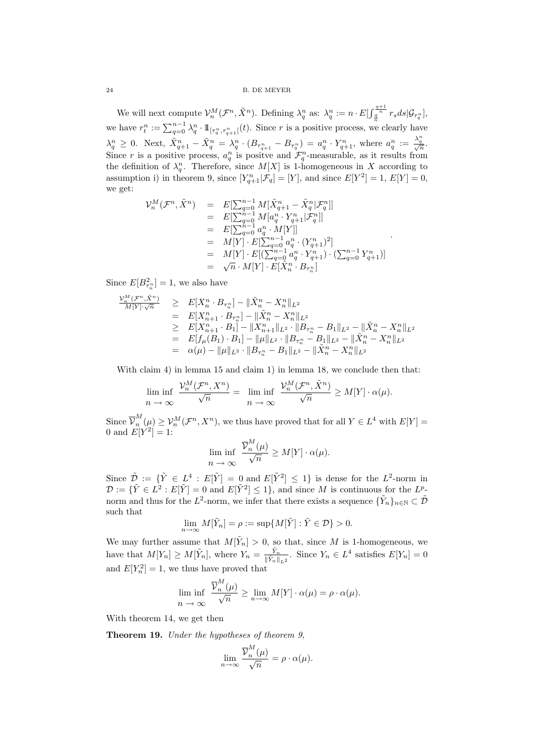We will next compute  $\mathcal{V}_n^M(\mathcal{F}^n, \tilde{X}^n)$ . Defining  $\lambda_q^n$  as:  $\lambda_q^n := n \cdot E[\int_{\frac{q}{\alpha}}^{\frac{q+1}{n}} r_s ds | \mathcal{G}_{\tau_q^n}]$ , we have  $r_t^n := \sum_{q=0}^{n-1} \lambda_q^n \cdot 1\!\!1_{[\tau_q^n, \tau_{q+1}^n[}(t) )$ . Since r is a positive process, we clearly have  $\lambda_q^n \geq 0$ . Next,  $\tilde{X}_{q+1}^n - \tilde{X}_q^n = \lambda_q^n \cdot (B_{\tau_{q+1}^n} - B_{\tau_q^n}) = a_q^n \cdot Y_{q+1}^n$ , where  $a_q^n := \frac{\lambda_q^n}{\sqrt{n}}$ . Since r is a positive process,  $a_q^n$  is positive and  $\mathcal{F}_q^n$ -measurable, as it results from the definition of  $\lambda_q^n$ . Therefore, since  $M[X]$  is 1-homogeneous in X according to assumption i) in theorem 9, since  $[Y_{q+1}^n | \mathcal{F}_q] = [Y]$ , and since  $E[Y^2] = 1$ ,  $E[Y] = 0$ , we get:

$$
\begin{array}{rcl} \mathcal{V}^M_n(\mathcal{F}^n,\tilde{X}^n) & = & E[\sum_{q=0}^{n-1}M[\tilde{X}^n_{q+1}-\tilde{X}^n_q|\mathcal{F}^n_q]] \\ & = & E[\sum_{q=0}^{n-1}M[a^n_q\cdot Y^n_{q+1}|\mathcal{F}^n_q]] \\ & = & E[\sum_{q=0}^{n-1}a^n_q\cdot M[Y]] \\ & = & M[Y]\cdot E[\sum_{q=0}^{n-1}a^n_q\cdot (Y^n_{q+1})^2] \\ & = & M[Y]\cdot E[(\sum_{q=0}^{n-1}a^n_q\cdot Y^n_{q+1})\cdot (\sum_{q=0}^{n-1}Y^n_{q+1})] \\ & = & \sqrt{n}\cdot M[Y]\cdot E[\tilde{X}^n_n\cdot B_{\tau^n_n}] \end{array}
$$

.

Since  $E[B_{\tau_n}^2] = 1$ , we also have

$$
\begin{array}{lll}\n\frac{\mathcal{V}_n^M(\mathcal{F}^n, \tilde{X}^n)}{M[Y] \cdot \sqrt{n}} & \geq & E[X_n^n \cdot B_{\tau_n^n}] - \|\tilde{X}_n^n - X_n^n\|_{L^2} \\
& = & E[X_{n+1}^n \cdot B_{\tau_n^n}] - \|\tilde{X}_n^n - X_n^n\|_{L^2} \\
& \geq & E[X_{n+1}^n \cdot B_1] - \|X_{n+1}^n\|_{L^2} \cdot \|B_{\tau_n^n} - B_1\|_{L^2} - \|\tilde{X}_n^n - X_n^n\|_{L^2} \\
& = & E[f_\mu(B_1) \cdot B_1] - \|\mu\|_{L^2} \cdot \|B_{\tau_n^n} - B_1\|_{L^2} - \|\tilde{X}_n^n - X_n^n\|_{L^2} \\
& = & \alpha(\mu) - \|\mu\|_{L^2} \cdot \|B_{\tau_n^n} - B_1\|_{L^2} - \|\tilde{X}_n^n - X_n^n\|_{L^2}\n\end{array}
$$

With claim 4) in lemma 15 and claim 1) in lemma 18, we conclude then that:

$$
\liminf_{n \to \infty} \frac{\mathcal{V}_n^M(\mathcal{F}^n, X^n)}{\sqrt{n}} = \liminf_{n \to \infty} \frac{\mathcal{V}_n^M(\mathcal{F}^n, \tilde{X}^n)}{\sqrt{n}} \ge M[Y] \cdot \alpha(\mu).
$$

Since  $\overline{\mathcal{V}}_n^M$  $\mathcal{V}_n^M(\mu) \geq \mathcal{V}_n^M(\mathcal{F}^n, X^n)$ , we thus have proved that for all  $Y \in L^4$  with  $E[Y] =$ 0 and  $E[Y^2] = 1$ :

$$
\liminf_{n \to \infty} \frac{\overline{\mathcal{V}}_n^M(\mu)}{\sqrt{n}} \ge M[Y] \cdot \alpha(\mu).
$$

Since  $\tilde{\mathcal{D}} := \{ \tilde{Y} \in L^4 : E[\tilde{Y}] = 0 \text{ and } E[\tilde{Y}^2] \leq 1 \}$  is dense for the  $L^2$ -norm in  $\mathcal{D} := \{ \tilde{Y} \in L^2 : E[\tilde{Y}] = 0 \text{ and } E[\tilde{Y}^2] \leq 1 \}, \text{ and since } M \text{ is continuous for the } L^p$ norm and thus for the  $L^2$ -norm, we infer that there exists a sequence  $\{\tilde{Y}_n\}_{n\in\mathbb{N}}\subset\tilde{\mathcal{D}}$ such that

$$
\lim_{n \to \infty} M[\tilde{Y}_n] = \rho := \sup \{ M[\tilde{Y}] : \tilde{Y} \in \mathcal{D} \} > 0.
$$

We may further assume that  $M[\tilde{Y}_n] > 0$ , so that, since M is 1-homogeneous, we have that  $M[Y_n] \geq M[\tilde{Y}_n]$ , where  $Y_n = \frac{\tilde{Y}_n}{\|\tilde{Y}_n\|}$  $\frac{Y_n}{\|\tilde{Y}_n\|_{L^2}}$ . Since  $Y_n \in L^4$  satisfies  $E[Y_n] = 0$ and  $E[Y_n^2] = 1$ , we thus have proved that

$$
\lim_{n \to \infty} \frac{\overline{\mathcal{V}}_n^M(\mu)}{\sqrt{n}} \ge \lim_{n \to \infty} M[Y] \cdot \alpha(\mu) = \rho \cdot \alpha(\mu).
$$

With theorem 14, we get then

Theorem 19. Under the hypotheses of theorem 9,

$$
\lim_{n \to \infty} \frac{\overline{\mathcal{V}}_n^M(\mu)}{\sqrt{n}} = \rho \cdot \alpha(\mu).
$$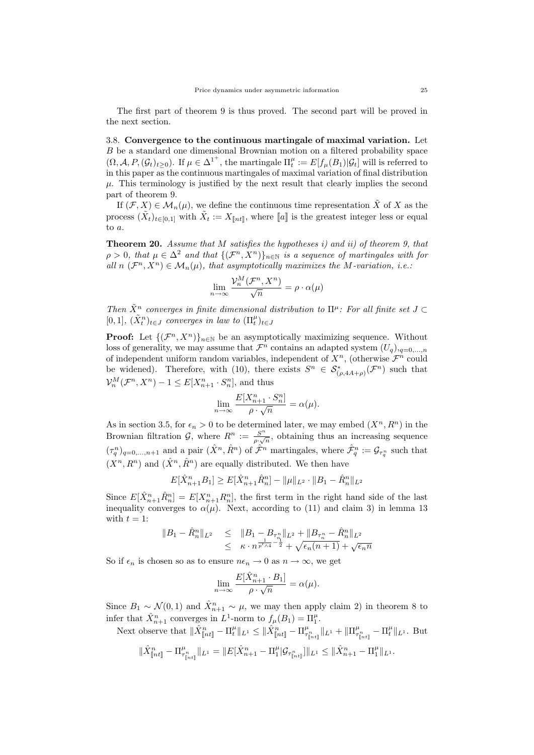The first part of theorem 9 is thus proved. The second part will be proved in the next section.

3.8. Convergence to the continuous martingale of maximal variation. Let B be a standard one dimensional Brownian motion on a filtered probability space  $(\Omega, \mathcal{A}, P, (\mathcal{G}_t)_{t \geq 0})$ . If  $\mu \in {\Delta^1}^+$ , the martingale  $\Pi_t^{\mu} := E[f_\mu(B_1)|\mathcal{G}_t]$  will is referred to in this paper as the continuous martingales of maximal variation of final distribution  $\mu$ . This terminology is justified by the next result that clearly implies the second part of theorem 9.

If  $(\mathcal{F}, X) \in \mathcal{M}_n(\mu)$ , we define the continuous time representation  $\tilde{X}$  of X as the process  $(\tilde{X}_t)_{t\in[0,1]}$  with  $\tilde{X}_t := X_{\llbracket nt \rrbracket}$ , where  $\llbracket a \rrbracket$  is the greatest integer less or equal to a.

**Theorem 20.** Assume that M satisfies the hypotheses i) and ii) of theorem 9, that  $\rho > 0$ , that  $\mu \in \Delta^2$  and that  $\{(\mathcal{F}^n, X^n)\}_{n \in \mathbb{N}}$  is a sequence of martingales with for all  $n$   $(\mathcal{F}^n, X^n) \in \mathcal{M}_n(\mu)$ , that asymptotically maximizes the M-variation, i.e.:

$$
\lim_{n \to \infty} \frac{\mathcal{V}_n^M(\mathcal{F}^n, X^n)}{\sqrt{n}} = \rho \cdot \alpha(\mu)
$$

Then  $\tilde{X}^n$  converges in finite dimensional distribution to  $\Pi^{\mu}$ : For all finite set  $J \subset$ [0,1],  $(\tilde{X}_t^n)_{t \in J}$  converges in law to  $(\Pi_t^{\mu})_{t \in J}$ 

**Proof:** Let  $\{(\mathcal{F}^n, X^n)\}_{n\in\mathbb{N}}$  be an asymptotically maximizing sequence. Without loss of generality, we may assume that  $\mathcal{F}^n$  contains an adapted system  $(U_q)_{q=0,\ldots,n}$ of independent uniform random variables, independent of  $X^n$ , (otherwise  $\mathcal{F}^n$  could be widened). Therefore, with (10), there exists  $S^n \in \mathcal{S}_{(\rho, 4A+\rho)}^*(\mathcal{F}^n)$  such that  $\mathcal{V}_n^M(\mathcal{F}^n, X^n) - 1 \leq E[X_{n+1}^n \cdot S_n^n]$ , and thus

$$
\lim_{n \to \infty} \frac{E[X_{n+1}^n \cdot S_n^n]}{\rho \cdot \sqrt{n}} = \alpha(\mu).
$$

As in section 3.5, for  $\epsilon_n > 0$  to be determined later, we may embed  $(X^n, R^n)$  in the Brownian filtration  $\mathcal{G}$ , where  $R^n := \frac{S^n}{\gamma}$  $\frac{S^n}{\rho \cdot \sqrt{n}}$ , obtaining thus an increasing sequence  $(\tau_q^n)_{q=0,\ldots,n+1}$  and a pair  $(\hat{X}^n, \hat{R}^n)$  of  $\hat{\mathcal{F}}^n$  martingales, where  $\hat{\mathcal{F}}_q^n := \mathcal{G}_{\tau_q^n}$  such that  $(X^n, R^n)$  and  $(\hat{X}^n, \hat{R}^n)$  are equally distributed. We then have

$$
E[\hat{X}_{n+1}^n B_1] \ge E[\hat{X}_{n+1}^n \hat{R}_n^n] - ||\mu||_{L^2} \cdot ||B_1 - \hat{R}_n^n||_{L^2}
$$

Since  $E[\hat{X}_{n+1}^n \hat{R}_n^n] = E[X_{n+1}^n R_n^n]$ , the first term in the right hand side of the last inequality converges to  $\alpha(\mu)$ . Next, according to (11) and claim 3) in lemma 13 with  $t = 1$ :

$$
||B_1 - \hat{R}_n^n||_{L^2} \le ||B_1 - B_{\tau_n^n}||_{L^2} + ||B_{\tau_n^n} - \hat{R}_n^n||_{L^2}
$$
  
 
$$
\le \kappa \cdot n^{\frac{1}{p'\wedge 4} - \frac{1}{2}} + \sqrt{\epsilon_n (n+1)} + \sqrt{\epsilon_n n}
$$

So if  $\epsilon_n$  is chosen so as to ensure  $n\epsilon_n \to 0$  as  $n \to \infty$ , we get

$$
\lim_{n \to \infty} \frac{E[\hat{X}_{n+1}^n \cdot B_1]}{\rho \cdot \sqrt{n}} = \alpha(\mu).
$$

Since  $B_1 \sim \mathcal{N}(0, 1)$  and  $\hat{X}_{n+1}^n \sim \mu$ , we may then apply claim 2) in theorem 8 to infer that  $\hat{X}_{n+1}^n$  converges in  $L^1$ -norm to  $f_\mu(B_1) = \Pi_1^\mu$ .

Next observe that  $\|\hat{X}_{\llbracket nt \rrbracket}^n - \Pi_t^{\mu} \|_{L^1} \leq \|\hat{X}_{\llbracket nt \rrbracket}^n - \Pi_{\tau_{\llbracket nt \rrbracket}^n}^{\mu} \|_{L^1} + \|\Pi_{\tau_{\llbracket nt \rrbracket}^n}^{\mu} - \Pi_t^{\mu} \|_{L^1}.$  But

$$
\|\hat{X}_{\llbracket nt \rrbracket}^n - \Pi_{\tau_{\llbracket nt \rrbracket}^n}^\mu\|_{L^1} = \|E[\hat{X}_{n+1}^n - \Pi_1^\mu | \mathcal{G}_{\tau_{\llbracket nt \rrbracket}^n}] \|_{L^1} \leq \|\hat{X}_{n+1}^n - \Pi_1^\mu\|_{L^1}.
$$